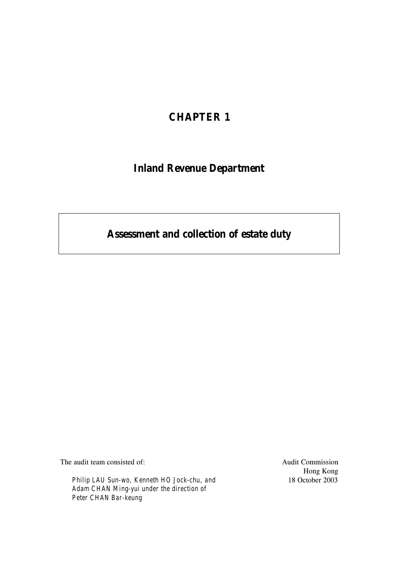# **CHAPTER 1**

# **Inland Revenue Department**

# **Assessment and collection of estate duty**

The audit team consisted of:

*Philip LAU Sun-wo, Kenneth HO Jock-chu, and Adam CHAN Ming-yui under the direction of Peter CHAN Bar-keung*

Audit Commission Hong Kong 18 October 2003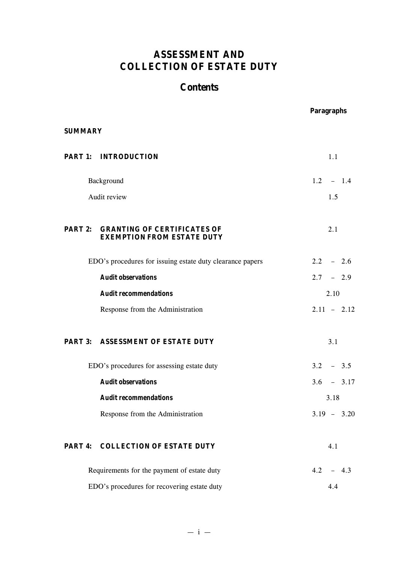# **ASSESSMENT AND COLLECTION OF ESTATE DUTY**

# **Contents**

|                |                                                                         | <b>Paragraphs</b> |
|----------------|-------------------------------------------------------------------------|-------------------|
| <b>SUMMARY</b> |                                                                         |                   |
|                | <b>PART 1: INTRODUCTION</b>                                             | 1.1               |
|                | Background                                                              | $1.2 - 1.4$       |
|                | Audit review                                                            | 1.5               |
| <b>PART 2:</b> | <b>GRANTING OF CERTIFICATES OF</b><br><b>EXEMPTION FROM ESTATE DUTY</b> | 2.1               |
|                | EDO's procedures for issuing estate duty clearance papers               | $2.2 - 2.6$       |
|                | <b>Audit observations</b>                                               | $2.7 - 2.9$       |
|                | <b>Audit recommendations</b>                                            | 2.10              |
|                | Response from the Administration                                        | $2.11 - 2.12$     |
|                | PART 3: ASSESSMENT OF ESTATE DUTY                                       | 3.1               |
|                | EDO's procedures for assessing estate duty                              | $3.2 - 3.5$       |
|                | <b>Audit observations</b>                                               | $3.6 - 3.17$      |
|                | <b>Audit recommendations</b>                                            | 3.18              |
|                | Response from the Administration                                        | $3.19 - 3.20$     |
| PART 4:        | <b>COLLECTION OF ESTATE DUTY</b>                                        | 4.1               |
|                | Requirements for the payment of estate duty                             | 4.2<br>$-4.3$     |
|                | EDO's procedures for recovering estate duty                             | 4.4               |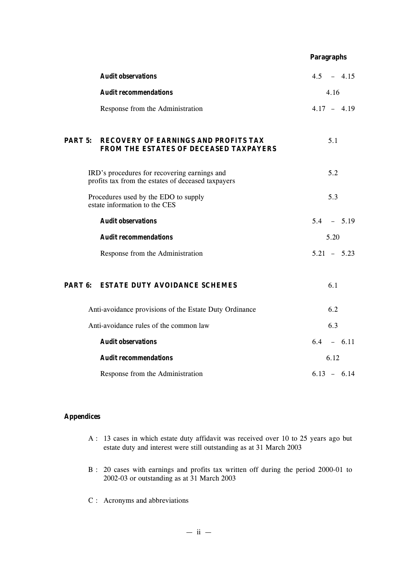|         |                                                                                                    | <b>Paragraphs</b> |
|---------|----------------------------------------------------------------------------------------------------|-------------------|
|         | <b>Audit observations</b>                                                                          | $4.5 - 4.15$      |
|         | <b>Audit recommendations</b>                                                                       | 4.16              |
|         | Response from the Administration                                                                   | $4.17 - 4.19$     |
| PART 5: | <b>RECOVERY OF EARNINGS AND PROFITS TAX</b><br>FROM THE ESTATES OF DECEASED TAXPAYERS              | 5.1               |
|         | IRD's procedures for recovering earnings and<br>profits tax from the estates of deceased taxpayers | 5.2               |
|         | Procedures used by the EDO to supply<br>estate information to the CES                              | 5.3               |
|         | <b>Audit observations</b>                                                                          | $5.4 - 5.19$      |
|         | <b>Audit recommendations</b>                                                                       | 5.20              |
|         | Response from the Administration                                                                   | $5.21 - 5.23$     |
|         | <b>PART 6: ESTATE DUTY AVOIDANCE SCHEMES</b>                                                       | 6.1               |
|         | Anti-avoidance provisions of the Estate Duty Ordinance                                             | 6.2               |
|         | Anti-avoidance rules of the common law                                                             | 6.3               |
|         | <b>Audit observations</b>                                                                          | $6.4 - 6.11$      |
|         | <b>Audit recommendations</b>                                                                       | 6.12              |
|         |                                                                                                    |                   |

## **Appendices**

A : 13 cases in which estate duty affidavit was received over 10 to 25 years ago but estate duty and interest were still outstanding as at 31 March 2003

 $6.13 - 6.14$ 

- B : 20 cases with earnings and profits tax written off during the period 2000-01 to 2002-03 or outstanding as at 31 March 2003
- C : Acronyms and abbreviations

Response from the Administration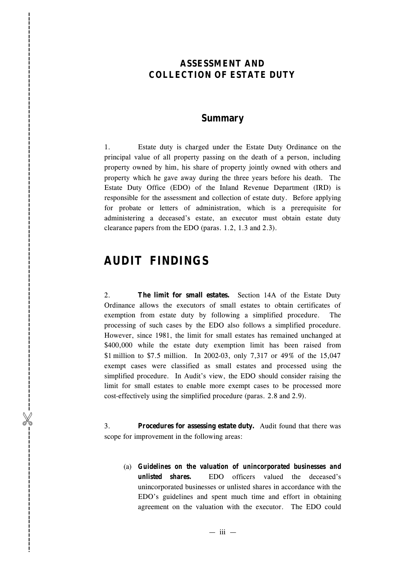# **ASSESSMENT AND COLLECTION OF ESTATE DUTY**

## **Summary**

1. Estate duty is charged under the Estate Duty Ordinance on the principal value of all property passing on the death of a person, including property owned by him, his share of property jointly owned with others and property which he gave away during the three years before his death. The Estate Duty Office (EDO) of the Inland Revenue Department (IRD) is responsible for the assessment and collection of estate duty. Before applying for probate or letters of administration, which is a prerequisite for administering a deceased's estate, an executor must obtain estate duty clearance papers from the EDO (paras. 1.2, 1.3 and 2.3).

# **AUDIT FINDINGS**

%------------------------------------------------------------------------------------------

-----------------------------

2. **The limit for small estates.** Section 14A of the Estate Duty Ordinance allows the executors of small estates to obtain certificates of exemption from estate duty by following a simplified procedure. The processing of such cases by the EDO also follows a simplified procedure. However, since 1981, the limit for small estates has remained unchanged at \$400,000 while the estate duty exemption limit has been raised from \$1 million to \$7.5 million. In 2002-03, only 7,317 or 49% of the 15,047 exempt cases were classified as small estates and processed using the simplified procedure. In Audit's view, the EDO should consider raising the limit for small estates to enable more exempt cases to be processed more cost-effectively using the simplified procedure (paras. 2.8 and 2.9).

3. **Procedures for assessing estate duty.** Audit found that there was scope for improvement in the following areas:

(a) *Guidelines on the valuation of unincorporated businesses and unlisted shares.* EDO officers valued the deceased's unincorporated businesses or unlisted shares in accordance with the EDO's guidelines and spent much time and effort in obtaining agreement on the valuation with the executor. The EDO could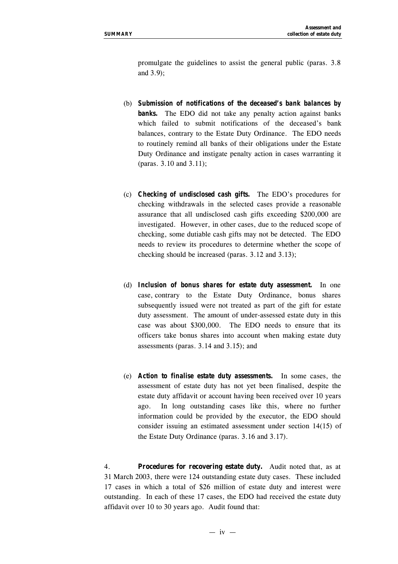promulgate the guidelines to assist the general public (paras. 3.8 and 3.9);

- (b) *Submission of notifications of the deceased's bank balances by* **banks.** The EDO did not take any penalty action against banks which failed to submit notifications of the deceased's bank balances, contrary to the Estate Duty Ordinance. The EDO needs to routinely remind all banks of their obligations under the Estate Duty Ordinance and instigate penalty action in cases warranting it (paras. 3.10 and 3.11);
- (c) *Checking of undisclosed cash gifts.* The EDO's procedures for checking withdrawals in the selected cases provide a reasonable assurance that all undisclosed cash gifts exceeding \$200,000 are investigated. However, in other cases, due to the reduced scope of checking, some dutiable cash gifts may not be detected. The EDO needs to review its procedures to determine whether the scope of checking should be increased (paras. 3.12 and 3.13);
- (d) *Inclusion of bonus shares for estate duty assessment.* In one case, contrary to the Estate Duty Ordinance, bonus shares subsequently issued were not treated as part of the gift for estate duty assessment. The amount of under-assessed estate duty in this case was about \$300,000. The EDO needs to ensure that its officers take bonus shares into account when making estate duty assessments (paras. 3.14 and 3.15); and
- (e) *Action to finalise estate duty assessments.* In some cases, the assessment of estate duty has not yet been finalised, despite the estate duty affidavit or account having been received over 10 years ago. In long outstanding cases like this, where no further information could be provided by the executor, the EDO should consider issuing an estimated assessment under section 14(15) of the Estate Duty Ordinance (paras. 3.16 and 3.17).

4. **Procedures for recovering estate duty.** Audit noted that, as at 31 March 2003, there were 124 outstanding estate duty cases. These included 17 cases in which a total of \$26 million of estate duty and interest were outstanding. In each of these 17 cases, the EDO had received the estate duty affidavit over 10 to 30 years ago. Audit found that: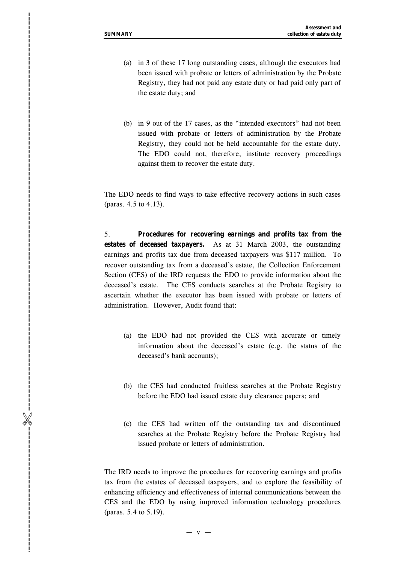%------------------------------------------------------------------------------------------

-----------------------------

- (a) in 3 of these 17 long outstanding cases, although the executors had been issued with probate or letters of administration by the Probate Registry, they had not paid any estate duty or had paid only part of the estate duty; and
- (b) in 9 out of the 17 cases, as the "intended executors" had not been issued with probate or letters of administration by the Probate Registry, they could not be held accountable for the estate duty. The EDO could not, therefore, institute recovery proceedings against them to recover the estate duty.

The EDO needs to find ways to take effective recovery actions in such cases (paras. 4.5 to 4.13).

5. **Procedures for recovering earnings and profits tax from the estates of deceased taxpayers.** As at 31 March 2003, the outstanding earnings and profits tax due from deceased taxpayers was \$117 million. To recover outstanding tax from a deceased's estate, the Collection Enforcement Section (CES) of the IRD requests the EDO to provide information about the deceased's estate. The CES conducts searches at the Probate Registry to ascertain whether the executor has been issued with probate or letters of administration. However, Audit found that:

- (a) the EDO had not provided the CES with accurate or timely information about the deceased's estate (e.g. the status of the deceased's bank accounts);
- (b) the CES had conducted fruitless searches at the Probate Registry before the EDO had issued estate duty clearance papers; and
- (c) the CES had written off the outstanding tax and discontinued searches at the Probate Registry before the Probate Registry had issued probate or letters of administration.

The IRD needs to improve the procedures for recovering earnings and profits tax from the estates of deceased taxpayers, and to explore the feasibility of enhancing efficiency and effectiveness of internal communications between the CES and the EDO by using improved information technology procedures (paras. 5.4 to 5.19).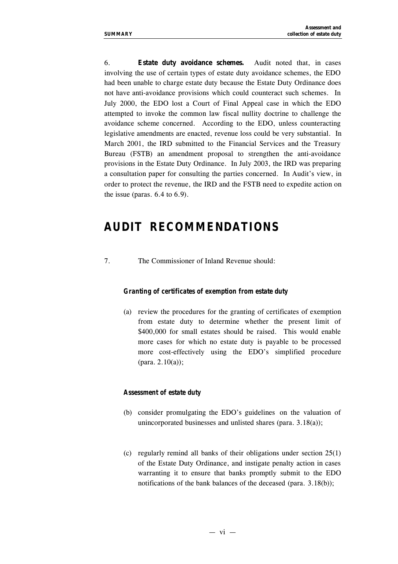6. **Estate duty avoidance schemes.** Audit noted that, in cases involving the use of certain types of estate duty avoidance schemes, the EDO had been unable to charge estate duty because the Estate Duty Ordinance does not have anti-avoidance provisions which could counteract such schemes. In July 2000, the EDO lost a Court of Final Appeal case in which the EDO attempted to invoke the common law fiscal nullity doctrine to challenge the avoidance scheme concerned. According to the EDO, unless counteracting legislative amendments are enacted, revenue loss could be very substantial. In March 2001, the IRD submitted to the Financial Services and the Treasury Bureau (FSTB) an amendment proposal to strengthen the anti-avoidance provisions in the Estate Duty Ordinance. In July 2003, the IRD was preparing a consultation paper for consulting the parties concerned. In Audit's view, in order to protect the revenue, the IRD and the FSTB need to expedite action on the issue (paras.  $6.4$  to  $6.9$ ).

# **AUDIT RECOMMENDATIONS**

7. The Commissioner of Inland Revenue should:

#### *Granting of certificates of exemption from estate duty*

(a) review the procedures for the granting of certificates of exemption from estate duty to determine whether the present limit of \$400,000 for small estates should be raised. This would enable more cases for which no estate duty is payable to be processed more cost-effectively using the EDO's simplified procedure (para. 2.10(a));

#### *Assessment of estate duty*

- (b) consider promulgating the EDO's guidelines on the valuation of unincorporated businesses and unlisted shares (para. 3.18(a));
- (c) regularly remind all banks of their obligations under section 25(1) of the Estate Duty Ordinance, and instigate penalty action in cases warranting it to ensure that banks promptly submit to the EDO notifications of the bank balances of the deceased (para. 3.18(b));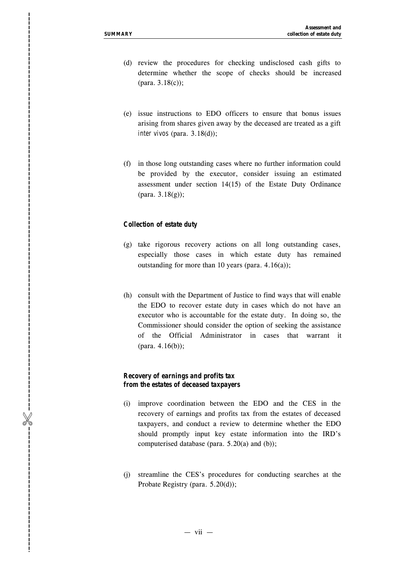%------------------------------------------------------------------------------------------

-----------------------------

- (d) review the procedures for checking undisclosed cash gifts to determine whether the scope of check s should be increased (para. 3.18(c)) ;
- (e) issue instructions to EDO officers to ensure that bonus issues arising from shares given away by the deceased are treated as a gift *inter vivos* (para. 3.18(d)) ;
- (f) in those long outstanding cases where no further information could be provided by the executor, consider issuing an estimated assessment under section 14(15) of the Estate Duty Ordinance (para. 3.18(g));

#### *Collection of estate duty*

- (g) take rigorous recovery actions on all long outstanding cases, especially those cases in which estate duty has remained outstanding for more than 10 years (para.  $4.16(a)$ );
- (h) consult with the Department of Justice to find ways that will enable the EDO to recover estate duty in cases which do not have an executor who is accountable for the estate duty. In doing so, the Commissioner should consider the option of seeking the assistance of the Official Administrator in cases that warrant it (para. 4.16(b));

#### *Recovery of earnings and profits tax from the estates of deceased taxpayers*

- (i) improve coordination between the EDO and the CES in the recovery of earnings and profits tax from the estates of deceased taxpayers, and conduct a review to determine whether the EDO should promptly input key estate information into the IRD's computerised database (para. 5.20(a) and (b));
- (j) streamline the CES's procedures for conducting searches at the Probate Registry (para. 5.20(d));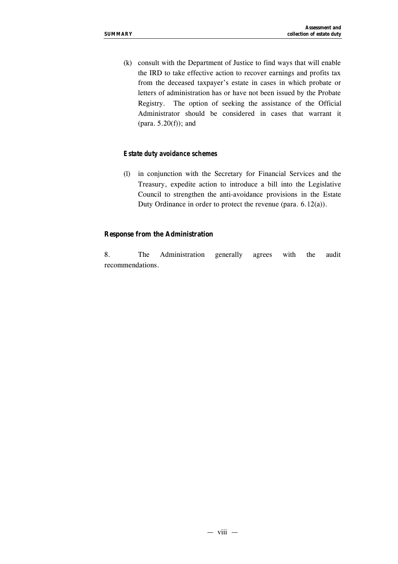(k) consult with the Department of Justice to find ways that will enable the IRD to take effective action to recover earnings and profits tax from the deceased taxpayer's estate in cases in which probate or letters of administration has or have not been issued by the Probate Registry. The option of seeking the assistance of the Official Administrator should be considered in cases that warrant it (para.  $5.20(f)$ ); and

#### *Estate duty avoidance schemes*

(l) in conjunction with the Secretary for Financial Services and the Treasury, expedite action to introduce a bill into the Legislative Council to strengthen the anti-avoidance provisions in the Estate Duty Ordinance in order to protect the revenue (para. 6.12(a)).

#### **Response from the Administration**

8. The Administration generally agrees with the audit recommendations.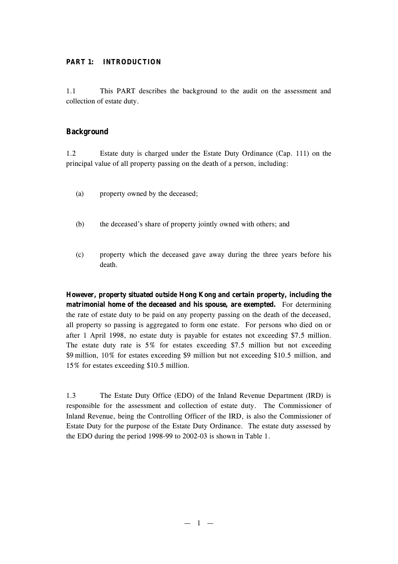## **PART 1: INTRODUCTION**

1.1 This PART describes the background to the audit on the assessment and collection of estate duty.

## **Background**

1.2 Estate duty is charged under the Estate Duty Ordinance (Cap. 111) on the principal value of all property passing on the death of a person, including:

- (a) property owned by the deceased;
- (b) the deceased's share of property jointly owned with others; and
- (c) property which the deceased gave away during the three years before his death.

**However, property situated** *outside* **Hong Kong and certain property, including the matrimonial home of the deceased and his spouse, are exempted.** For determining the rate of estate duty to be paid on any property passing on the death of the deceased, all property so passing is aggregated to form one estate. For persons who died on or after 1 April 1998, no estate duty is payable for estates not exceeding \$7.5 million. The estate duty rate is 5% for estates exceeding \$7.5 million but not exceeding \$9 million, 10% for estates exceeding \$9 million but not exceeding \$10.5 million, and 15% for estates exceeding \$10.5 million.

1.3 The Estate Duty Office (EDO) of the Inland Revenue Department (IRD) is responsible for the assessment and collection of estate duty. The Commissioner of Inland Revenue, being the Controlling Officer of the IRD, is also the Commissioner of Estate Duty for the purpose of the Estate Duty Ordinance. The estate duty assessed by the EDO during the period 1998-99 to 2002-03 is shown in Table 1.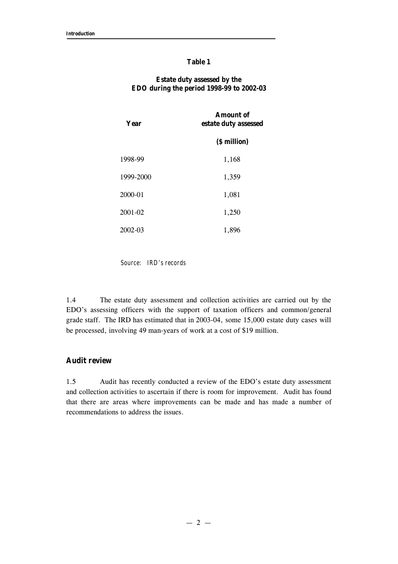#### **Table 1**

### **Estate duty assessed by the EDO during the period 1998-99 to 2002-03**

| Year      | <b>Amount</b> of<br>estate duty assessed |  |
|-----------|------------------------------------------|--|
|           | (\$ million)                             |  |
| 1998-99   | 1,168                                    |  |
| 1999-2000 | 1,359                                    |  |
| 2000-01   | 1,081                                    |  |
| 2001-02   | 1,250                                    |  |
| 2002-03   | 1,896                                    |  |

*Source: IRD's records*

1.4 The estate duty assessment and collection activities are carried out by the EDO's assessing officers with the support of taxation officers and common/general grade staff. The IRD has estimated that in 2003-04, some 15,000 estate duty cases will be processed, involving 49 man-years of work at a cost of \$19 million.

## **Audit review**

1.5 Audit has recently conducted a review of the EDO's estate duty assessment and collection activities to ascertain if there is room for improvement. Audit has found that there are areas where improvements can be made and has made a number of recommendations to address the issues.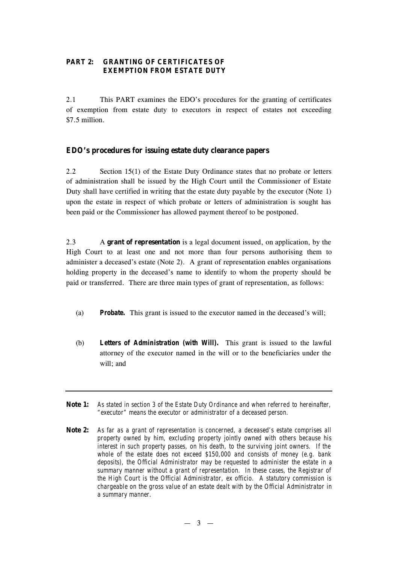## **PART 2: GRANTING OF CERTIFICATES OF EXEMPTION FROM ESTATE DUTY**

2.1 This PART examines the EDO's procedures for the granting of certificates of exemption from estate duty to executors in respect of estates not exceeding \$7.5 million.

## **EDO's procedures for issuing estate duty clearance papers**

2.2 Section 15(1) of the Estate Duty Ordinance states that no probate or letters of administration shall be issued by the High Court until the Commissioner of Estate Duty shall have certified in writing that the estate duty payable by the executor (Note 1) upon the estate in respect of which probate or letters of administration is sought has been paid or the Commissioner has allowed payment thereof to be postponed.

2.3 A **grant of representation** is a legal document issued, on application, by the High Court to at least one and not more than four persons authorising them to administer a deceased's estate (Note 2). A grant of representation enables organisations holding property in the deceased's name to identify to whom the property should be paid or transferred. There are three main types of grant of representation, as follows:

- (a) *Probate.* This grant is issued to the executor named in the deceased's will;
- (b) *Letters of Administration (with Will).* This grant is issued to the lawful attorney of the executor named in the will or to the beneficiaries under the will; and
- **Note 1:** *As stated in section 3 of the Estate Duty Ordinance and when referred to hereinafter, "executor" means the executor or administrator of a deceased person.*
- **Note 2:** *As far as a grant of representation is concerned, a deceased's estate comprises all property owned by him, excluding property jointly owned with others because his interest in such property passes, on his death, to the surviving joint owners. If the whole of the estate does not exceed \$150,000 and consists of money (e.g. bank deposits), the Official Administrator may be requested to administer the estate in a summary manner without a grant of representation. In these cases, the Registrar of the High Court is the Official Administrator, ex officio. A statutory commission is chargeable on the gross value of an estate dealt with by the Official Administrator in a summary manner.*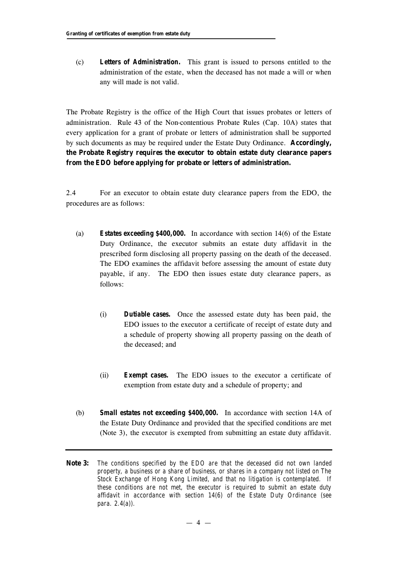(c) *Letters of Administration.* This grant is issued to persons entitled to the administration of the estate, when the deceased has not made a will or when any will made is not valid.

The Probate Registry is the office of the High Court that issues probates or letters of administration. Rule 43 of the Non-contentious Probate Rules (Cap. 10A) states that every application for a grant of probate or letters of administration shall be supported by such documents as may be required under the Estate Duty Ordinance. **Accordingly, the Probate Registry requires the executor to obtain estate duty clearance papers from the EDO before applying for probate or letters of administration.**

2.4 For an executor to obtain estate duty clearance papers from the EDO, the procedures are as follows:

- (a) *Estates exceeding \$400,000.* In accordance with section 14(6) of the Estate Duty Ordinance, the executor submits an estate duty affidavit in the prescribed form disclosing all property passing on the death of the deceased. The EDO examines the affidavit before assessing the amount of estate duty payable, if any. The EDO then issues estate duty clearance papers, as follows:
	- (i) *Dutiable cases.* Once the assessed estate duty has been paid, the EDO issues to the executor a certificate of receipt of estate duty and a schedule of property showing all property passing on the death of the deceased; and
	- (ii) *Exempt cases.* The EDO issues to the executor a certificate of exemption from estate duty and a schedule of property; and
- (b) *Small estates not exceeding \$400,000.* In accordance with section 14A of the Estate Duty Ordinance and provided that the specified conditions are met (Note 3), the executor is exempted from submitting an estate duty affidavit.
- **Note 3:** *The conditions specified by the EDO are that the deceased did not own landed property, a business or a share of business, or shares in a company not listed on The Stock Exchange of Hong Kong Limited, and that no litigation is contemplated. If these conditions are not met, the executor is required to submit an estate duty affidavit in accordance with section 14(6) of the Estate Duty Ordinance (see para. 2.4(a)).*

 $-4 -$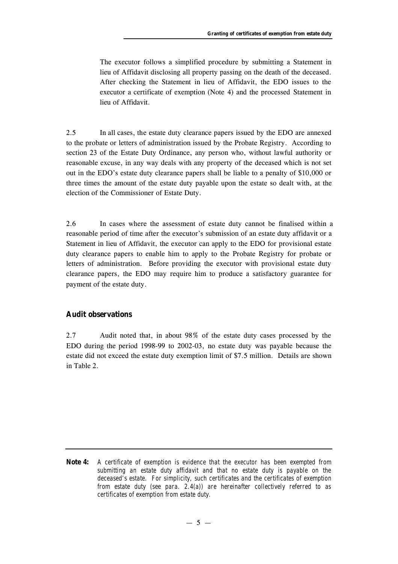The executor follows a simplified procedure by submitting a Statement in lieu of Affidavit disclosing all property passing on the death of the deceased. After checking the Statement in lieu of Affidavit, the EDO issues to the executor a certificate of exemption (Note 4) and the processed Statement in lieu of Affidavit.

2.5 In all cases, the estate duty clearance papers issued by the EDO are annexed to the probate or letters of administration issued by the Probate Registry. According to section 23 of the Estate Duty Ordinance, any person who, without lawful authority or reasonable excuse, in any way deals with any property of the deceased which is not set out in the EDO's estate duty clearance papers shall be liable to a penalty of \$10,000 or three times the amount of the estate duty payable upon the estate so dealt with, at the election of the Commissioner of Estate Duty.

2.6 In cases where the assessment of estate duty cannot be finalised within a reasonable period of time after the executor's submission of an estate duty affidavit or a Statement in lieu of Affidavit, the executor can apply to the EDO for provisional estate duty clearance papers to enable him to apply to the Probate Registry for probate or letters of administration. Before providing the executor with provisional estate duty clearance papers, the EDO may require him to produce a satisfactory guarantee for payment of the estate duty.

## **Audit observations**

2.7 Audit noted that, in about 98% of the estate duty cases processed by the EDO during the period 1998-99 to 2002-03, no estate duty was payable because the estate did not exceed the estate duty exemption limit of \$7.5 million. Details are shown in Table 2.

**Note 4:** *A certificate of exemption is evidence that the executor has been exempted from submitting an estate duty affidavit and that no estate duty is payable on the deceased's estate. For simplicity, such certificates and the certificates of exemption from estate duty (see para. 2.4(a)) are hereinafter collectively referred to as certificates of exemption from estate duty.*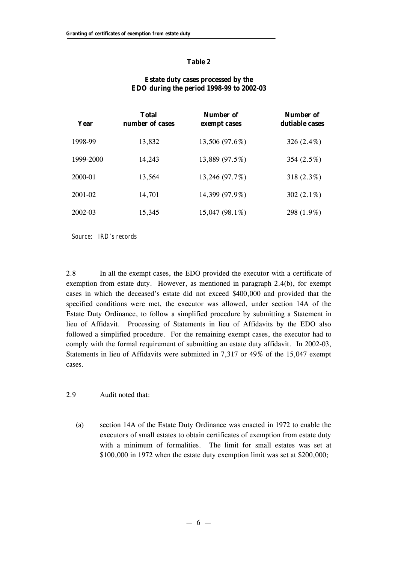#### **Table 2**

## **Estate duty cases processed by the EDO during the period 1998-99 to 2002-03**

| Year        | <b>Total</b><br>number of cases | Number of<br>exempt cases | Number of<br>dutiable cases |
|-------------|---------------------------------|---------------------------|-----------------------------|
| 1998-99     | 13,832                          | 13,506 (97.6%)            | 326 $(2.4\%)$               |
| 1999-2000   | 14,243                          | 13,889 (97.5%)            | 354 (2.5%)                  |
| 2000-01     | 13.564                          | 13,246 (97.7%)            | 318 $(2.3\%)$               |
| $2001 - 02$ | 14,701                          | 14,399 (97.9%)            | 302 $(2.1\%)$               |
| $2002 - 03$ | 15,345                          | 15,047 (98.1%)            | 298 (1.9%)                  |

*Source: IRD's records*

2.8 In all the exempt cases, the EDO provided the executor with a certificate of exemption from estate duty. However, as mentioned in paragraph 2.4(b), for exempt cases in which the deceased's estate did not exceed \$400,000 and provided that the specified conditions were met, the executor was allowed, under section 14A of the Estate Duty Ordinance, to follow a simplified procedure by submitting a Statement in lieu of Affidavit. Processing of Statements in lieu of Affidavits by the EDO also followed a simplified procedure. For the remaining exempt cases, the executor had to comply with the formal requirement of submitting an estate duty affidavit. In 2002-03, Statements in lieu of Affidavits were submitted in 7,317 or 49% of the 15,047 exempt cases.

#### 2.9 Audit noted that:

(a) section 14A of the Estate Duty Ordinance was enacted in 1972 to enable the executors of small estates to obtain certificates of exemption from estate duty with a minimum of formalities. The limit for small estates was set at \$100,000 in 1972 when the estate duty exemption limit was set at \$200,000;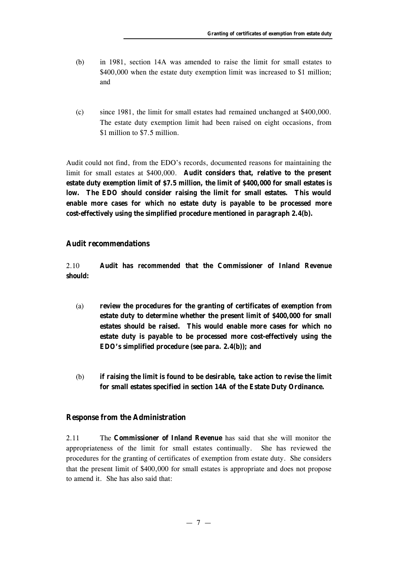- (b) in 1981, section 14A was amended to raise the limit for small estates to \$400,000 when the estate duty exemption limit was increased to \$1 million; and
- (c) since 1981, the limit for small estates had remained unchanged at \$400,000. The estate duty exemption limit had been raised on eight occasions, from \$1 million to \$7.5 million.

Audit could not find, from the EDO's records, documented reasons for maintaining the limit for small estates at \$400,000. **Audit considers that, relative to the present estate duty exemption limit of \$7.5 million, the limit of \$400,000 for small estates is low. The EDO should consider raising the limit for small estates. This would enable more cases for which no estate duty is payable to be processed more cost-effectively using the simplified procedure mentioned in paragraph 2.4(b).**

#### **Audit recommendations**

2.10 **Audit has** *recommended* **that the Commissioner of Inland Revenue should:**

- (a) **review the procedures for the granting of certificates of exemption from estate duty to determine whether the present limit of \$400,000 for small estates should be raised. This would enable more cases for which no estate duty is payable to be processed more cost-effectively using the EDO's simplified procedure (see para. 2.4(b)); and**
- (b) **if raising the limit is found to be desirable, take action to revise the limit for small estates specified in section 14A of the Estate Duty Ordinance.**

#### **Response from the Administration**

2.11 The **Commissioner of Inland Revenue** has said that she will monitor the appropriateness of the limit for small estates continually. She has reviewed the procedures for the granting of certificates of exemption from estate duty. She considers that the present limit of \$400,000 for small estates is appropriate and does not propose to amend it. She has also said that: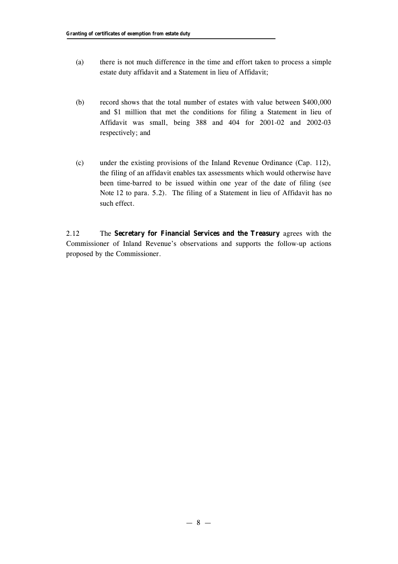- (a) there is not much difference in the time and effort taken to process a simple estate duty affidavit and a Statement in lieu of Affidavit;
- (b) record shows that the total number of estates with value between \$400,000 and \$1 million that met the conditions for filing a Statement in lieu of Affidavit was small, being 388 and 404 for 2001-02 and 2002-03 respectively; and
- (c) under the existing provisions of the Inland Revenue Ordinance (Cap. 112), the filing of an affidavit enables tax assessments which would otherwise have been time-barred to be issued within one year of the date of filing (see Note 12 to para. 5.2). The filing of a Statement in lieu of Affidavit has no such effect.

2.12 The **Secretary for Financial Services and the Treasury** agrees with the Commissioner of Inland Revenue's observations and supports the follow-up actions proposed by the Commissioner.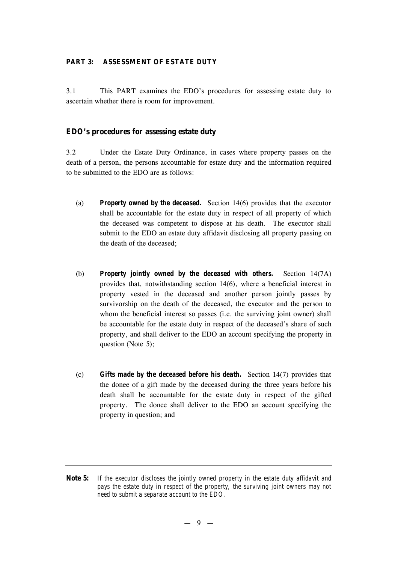#### **PART 3: ASSESSMENT OF ESTATE DUTY**

3.1 This PART examines the EDO's procedures for assessing estate duty to ascertain whether there is room for improvement.

#### **EDO's procedures for assessing estate duty**

3.2 Under the Estate Duty Ordinance, in cases where property passes on the death of a person, the persons accountable for estate duty and the information required to be submitted to the EDO are as follows:

- (a) *Property owned by the deceased.* Section 14(6) provides that the executor shall be accountable for the estate duty in respect of all property of which the deceased was competent to dispose at his death. The executor shall submit to the EDO an estate duty affidavit disclosing all property passing on the death of the deceased;
- (b) *Property jointly owned by the deceased with others.* Section 14(7A) provides that, notwithstanding section 14(6), where a beneficial interest in property vested in the deceased and another person jointly passes by survivorship on the death of the deceased, the executor and the person to whom the beneficial interest so passes (i.e. the surviving joint owner) shall be accountable for the estate duty in respect of the deceased's share of such property, and shall deliver to the EDO an account specifying the property in question (Note 5);
- (c) *Gifts made by the deceased before his death.* Section 14(7) provides that the donee of a gift made by the deceased during the three years before his death shall be accountable for the estate duty in respect of the gifted property. The donee shall deliver to the EDO an account specifying the property in question; and
- **Note 5:** *If the executor discloses the jointly owned property in the estate duty affidavit and pays the estate duty in respect of the property, the surviving joint owners may not need to submit a separate account to the EDO.*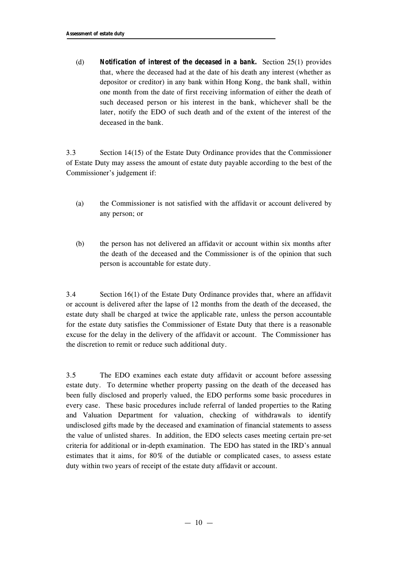(d) *Notification of interest of the deceased in a bank.* Section 25(1) provides that, where the deceased had at the date of his death any interest (whether as depositor or creditor) in any bank within Hong Kong, the bank shall, within one month from the date of first receiving information of either the death of such deceased person or his interest in the bank, whichever shall be the later, notify the EDO of such death and of the extent of the interest of the deceased in the bank.

3.3 Section 14(15) of the Estate Duty Ordinance provides that the Commissioner of Estate Duty may assess the amount of estate duty payable according to the best of the Commissioner's judgement if:

- (a) the Commissioner is not satisfied with the affidavit or account delivered by any person; or
- (b) the person has not delivered an affidavit or account within six months after the death of the deceased and the Commissioner is of the opinion that such person is accountable for estate duty.

3.4 Section 16(1) of the Estate Duty Ordinance provides that, where an affidavit or account is delivered after the lapse of 12 months from the death of the deceased, the estate duty shall be charged at twice the applicable rate, unless the person accountable for the estate duty satisfies the Commissioner of Estate Duty that there is a reasonable excuse for the delay in the delivery of the affidavit or account. The Commissioner has the discretion to remit or reduce such additional duty.

3.5 The EDO examines each estate duty affidavit or account before assessing estate duty. To determine whether property passing on the death of the deceased has been fully disclosed and properly valued, the EDO performs some basic procedures in every case. These basic procedures include referral of landed properties to the Rating and Valuation Department for valuation, checking of withdrawals to identify undisclosed gifts made by the deceased and examination of financial statements to assess the value of unlisted shares. In addition, the EDO selects cases meeting certain pre-set criteria for additional or in-depth examination. The EDO has stated in the IRD's annual estimates that it aims, for 80% of the dutiable or complicated cases, to assess estate duty within two years of receipt of the estate duty affidavit or account.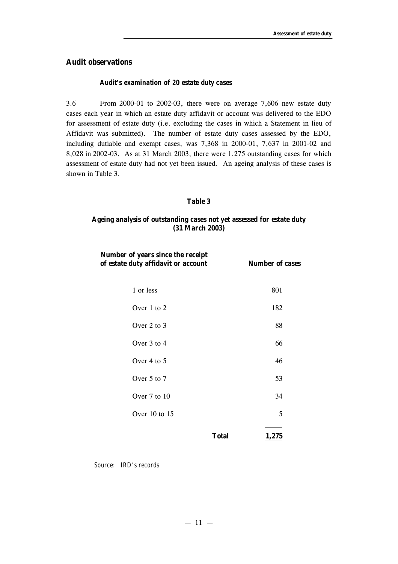## **Audit observations**

#### *Audit's examination of 20 estate duty cases*

3.6 From 2000-01 to 2002-03, there were on average 7,606 new estate duty cases each year in which an estate duty affidavit or account was delivered to the EDO for assessment of estate duty (i.e. excluding the cases in which a Statement in lieu of Affidavit was submitted). The number of estate duty cases assessed by the EDO, including dutiable and exempt cases, was 7,368 in 2000-01, 7,637 in 2001-02 and 8,028 in 2002-03. As at 31 March 2003, there were 1,275 outstanding cases for which assessment of estate duty had not yet been issued. An ageing analysis of these cases is shown in Table 3.

#### **Table 3**

## **Ageing analysis of outstanding cases not yet assessed for estate duty (31 March 2003)**

| Number of years since the receipt<br>of estate duty affidavit or account | <b>Number of cases</b> |
|--------------------------------------------------------------------------|------------------------|
| 1 or less                                                                | 801                    |
| Over 1 to 2                                                              | 182                    |
| Over 2 to 3                                                              | 88                     |
| Over 3 to 4                                                              | 66                     |
| Over 4 to 5                                                              | 46                     |
| Over 5 to 7                                                              | 53                     |
| Over 7 to 10                                                             | 34                     |
| Over 10 to 15                                                            | 5                      |
|                                                                          | <b>Total</b><br>1,275  |

*Source: IRD's records*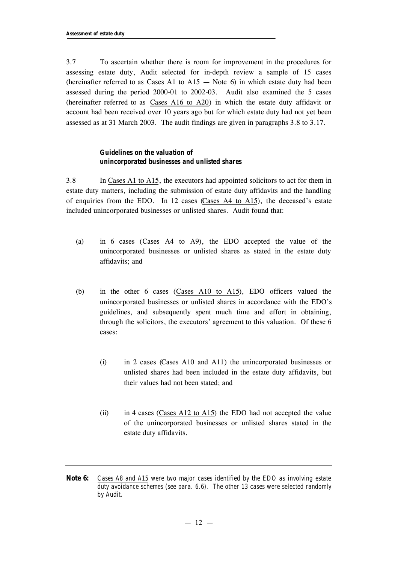3.7 To ascertain whether there is room for improvement in the procedures for assessing estate duty, Audit selected for in-depth review a sample of 15 cases (hereinafter referred to as Cases A1 to  $A15 -$  Note 6) in which estate duty had been assessed during the period 2000-01 to 2002-03. Audit also examined the 5 cases (hereinafter referred to as Cases A16 to A20) in which the estate duty affidavit or account had been received over 10 years ago but for which estate duty had not yet been assessed as at 31 March 2003. The audit findings are given in paragraphs 3.8 to 3.17.

## *Guidelines on the valuation of unincorporated businesses and unlisted shares*

3.8 In Cases A1 to A15, the executors had appointed solicitors to act for them in estate duty matters, including the submission of estate duty affidavits and the handling of enquiries from the EDO. In 12 cases (Cases A4 to A15), the deceased's estate included unincorporated businesses or unlisted shares. Audit found that:

- (a) in 6 cases (Cases A4 to A9), the EDO accepted the value of the unincorporated businesses or unlisted shares as stated in the estate duty affidavits; and
- (b) in the other 6 cases (Cases A10 to A15), EDO officers valued the unincorporated businesses or unlisted shares in accordance with the EDO's guidelines, and subsequently spent much time and effort in obtaining, through the solicitors, the executors' agreement to this valuation. Of these 6 cases:
	- (i) in 2 cases (Cases A10 and A11) the unincorporated businesses or unlisted shares had been included in the estate duty affidavits, but their values had not been stated; and
	- (ii) in 4 cases (Cases A12 to A15) the EDO had not accepted the value of the unincorporated businesses or unlisted shares stated in the estate duty affidavits.
- **Note 6:** *Cases A8 and A15 were two major cases identified by the EDO as involving estate duty avoidance schemes (see para. 6.6). The other 13 cases were selected randomly by Audit.*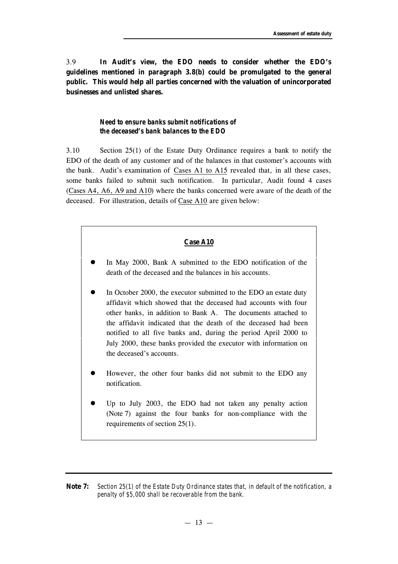3.9 **In Audit's view, the EDO needs to consider whether the EDO's guidelines mentioned in paragraph 3.8(b) could be promulgated to the general public. This would help all parties concerned with the valuation of unincorporated businesses and unlisted shares.**

## *Need to ensure banks submit notifications of the deceased's bank balances to the EDO*

3.10 Section 25(1) of the Estate Duty Ordinance requires a bank to notify the EDO of the death of any customer and of the balances in that customer's accounts with the bank. Audit's examination of Cases A1 to A15 revealed that, in all these cases, some banks failed to submit such notification. In particular, Audit found 4 cases (Cases A4, A6, A9 and A10) where the banks concerned were aware of the death of the deceased. For illustration, details of Case A10 are given below:

## **Case A10**

- In May 2000, Bank A submitted to the EDO notification of the death of the deceased and the balances in his accounts.
- In October 2000, the executor submitted to the EDO an estate duty affidavit which showed that the deceased had accounts with four other banks, in addition to Bank A. The documents attached to the affidavit indicated that the death of the deceased had been notified to all five banks and, during the period April 2000 to July 2000, these banks provided the executor with information on the deceased's accounts.
- However, the other four banks did not submit to the EDO any notification.
- l Up to July 2003, the EDO had not taken any penalty action (Note 7) against the four banks for non-compliance with the requirements of section 25(1).

**Note 7:** *Section 25(1) of the Estate Duty Ordinance states that, in default of the notification, a penalty of \$5,000 shall be recoverable from the bank.*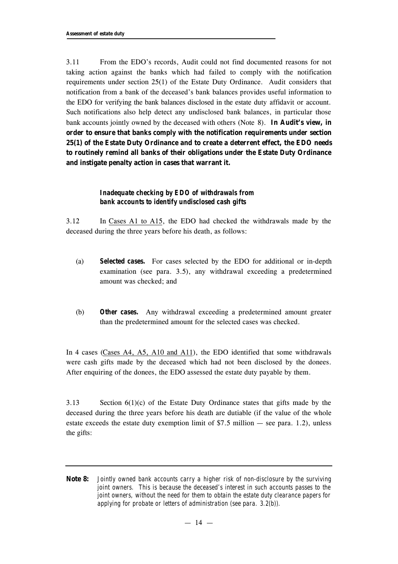3.11 From the EDO's records, Audit could not find documented reasons for not taking action against the banks which had failed to comply with the notification requirements under section 25(1) of the Estate Duty Ordinance. Audit considers that notification from a bank of the deceased's bank balances provides useful information to the EDO for verifying the bank balances disclosed in the estate duty affidavit or account. Such notifications also help detect any undisclosed bank balances, in particular those bank accounts jointly owned by the deceased with others (Note 8). **In Audit's view, in order to ensure that banks comply with the notification requirements under section 25(1) of the Estate Duty Ordinance and to create a deterrent effect, the EDO needs to routinely remind all banks of their obligations under the Estate Duty Ordinance and instigate penalty action in cases that warrant it.**

## *Inadequate checking by EDO of withdrawals from bank accounts to identify undisclosed cash gifts*

3.12 In Cases A1 to A15, the EDO had checked the withdrawals made by the deceased during the three years before his death, as follows:

- (a) *Selected cases.* For cases selected by the EDO for additional or in-depth examination (see para. 3.5), any withdrawal exceeding a predetermined amount was checked; and
- (b) *Other cases.* Any withdrawal exceeding a predetermined amount greater than the predetermined amount for the selected cases was checked.

In 4 cases (Cases A4, A5, A10 and A11), the EDO identified that some withdrawals were cash gifts made by the deceased which had not been disclosed by the donees. After enquiring of the donees, the EDO assessed the estate duty payable by them.

3.13 Section 6(1)(c) of the Estate Duty Ordinance states that gifts made by the deceased during the three years before his death are dutiable (if the value of the whole estate exceeds the estate duty exemption limit of  $$7.5$  million  $-$  see para. 1.2), unless the gifts:

**Note 8:** *Jointly owned bank accounts carry a higher risk of non-disclosure by the surviving joint owners.* This is because the deceased's interest in such accounts passes to the *joint owners, without the need for them to obtain the estate duty clearance papers for applying for probate or letters of administration (see para. 3.2(b)).*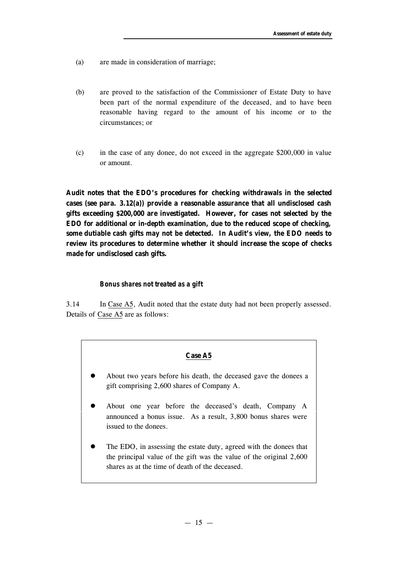- (a) are made in consideration of marriage;
- (b) are proved to the satisfaction of the Commissioner of Estate Duty to have been part of the normal expenditure of the deceased, and to have been reasonable having regard to the amount of his income or to the circumstances; or
- (c) in the case of any donee, do not exceed in the aggregate \$200,000 in value or amount.

**Audit notes that the EDO's procedures for checking withdrawals in the selected cases (see para. 3.12(a)) provide a reasonable assurance that all undisclosed cash gifts exceeding \$200,000 are investigated. However, for cases not selected by the EDO for additional or in-depth examination, due to the reduced scope of checking, some dutiable cash gifts may not be detected. In Audit's view, the EDO needs to review its procedures to determine whether it should increase the scope of checks made for undisclosed cash gifts.**

#### *Bonus shares not treated as a gift*

3.14 In Case A5, Audit noted that the estate duty had not been properly assessed. Details of Case A5 are as follows:

## **Case A5**

- l About two years before his death, the deceased gave the donees a gift comprising 2,600 shares of Company A.
- l About one year before the deceased's death, Company A announced a bonus issue. As a result, 3,800 bonus shares were issued to the donees.
- The EDO, in assessing the estate duty, agreed with the donees that the principal value of the gift was the value of the original 2,600 shares as at the time of death of the deceased.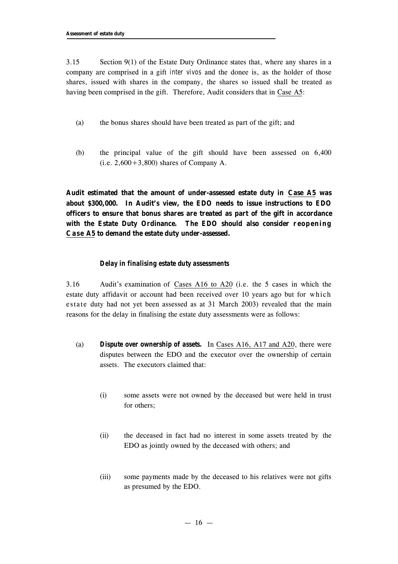3.15 Section 9(1) of the Estate Duty Ordinance states that, where any shares in a company are comprised in a gift *inter vivos* and the donee is, as the holder of those shares, issued with shares in the company, the shares so issued shall be treated as having been comprised in the gift. Therefore, Audit considers that in Case A5:

- (a) the bonus shares should have been treated as part of the gift; and
- (b) the principal value of the gift should have been assessed on 6,400  $(i.e. 2,600+3,800)$  shares of Company A.

**Audit estimated that the amount of under-assessed estate duty in Case A5 was about \$300,000. In Audit's view, the EDO needs to issue instructions to EDO officers to ensure that bonus shares are treated as part of the gift in accordance with the Estate Duty Ordinance. The EDO should also consider reopening Case A5 to demand the estate duty under-assessed.**

#### *Delay in finalising estate duty assessments*

3.16 Audit's examination of Cases A16 to A20 (i.e. the 5 cases in which the estate duty affidavit or account had been received over 10 years ago but for which estate duty had not yet been assessed as at 31 March 2003) revealed that the main reasons for the delay in finalising the estate duty assessments were as follows:

- (a) *Dispute over ownership of assets.* In Cases A16, A17 and A20, there were disputes between the EDO and the executor over the ownership of certain assets. The executors claimed that:
	- (i) some assets were not owned by the deceased but were held in trust for others;
	- (ii) the deceased in fact had no interest in some assets treated by the EDO as jointly owned by the deceased with others; and
	- (iii) some payments made by the deceased to his relatives were not gifts as presumed by the EDO.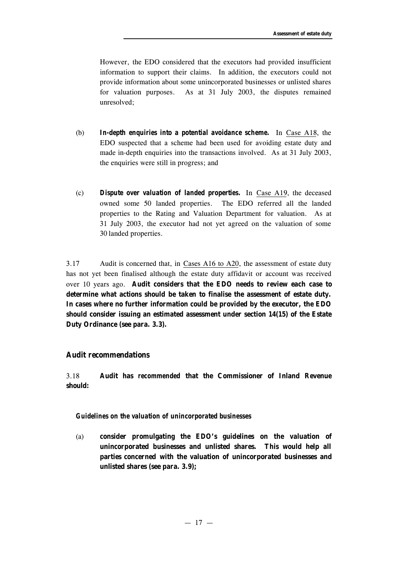However, the EDO considered that the executors had provided insufficient information to support their claims. In addition, the executors could not provide information about some unincorporated businesses or unlisted shares for valuation purposes. As at 31 July 2003, the disputes remained unresolved;

- (b) *In-depth enquiries into a potential avoidance scheme.* In Case A18, the EDO suspected that a scheme had been used for avoiding estate duty and made in-depth enquiries into the transactions involved. As at 31 July 2003, the enquiries were still in progress; and
- (c) *Dispute over valuation of landed properties.* In Case A19, the deceased owned some 50 landed properties. The EDO referred all the landed properties to the Rating and Valuation Department for valuation. As at 31 July 2003, the executor had not yet agreed on the valuation of some 30 landed properties.

3.17 Audit is concerned that, in Cases A16 to A20, the assessment of estate duty has not yet been finalised although the estate duty affidavit or account was received over 10 years ago. **Audit considers that the EDO needs to review each case to determine what actions should be taken to finalise the assessment of estate duty. In cases where no further information could be provided by the executor, the EDO should consider issuing an estimated assessment under section 14(15) of the Estate Duty Ordinance (see para. 3.3).**

## **Audit recommendations**

3.18 **Audit has** *recommended* **that the Commissioner of Inland Revenue should:**

#### *Guidelines on the valuation of unincorporated businesses*

(a) **consider promulgating the EDO's guidelines on the valuation of unincorporated businesses and unlisted shares. This would help all parties concerned with the valuation of unincorporated businesses and unlisted shares (see para. 3.9);**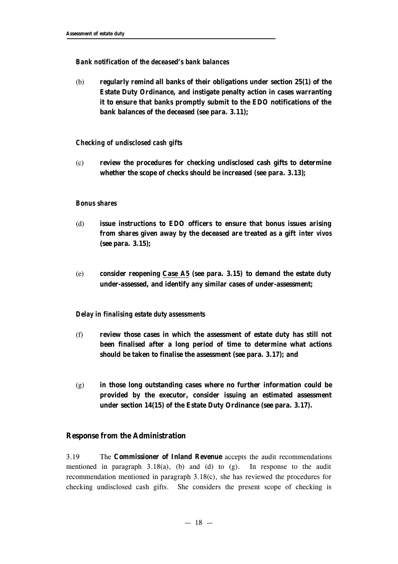#### *Bank notification of the deceased's bank balances*

(b) **regularly remind all banks of their obligations under section 25(1) of the Estate Duty Ordinance, and instigate penalty action in cases warranting it to ensure that banks promptly submit to the EDO notifications of the bank balances of the deceased (see para. 3.11);**

#### *Checking of undisclosed cash gifts*

(c) **review the procedures for checking undisclosed cash gifts to determine whether the scope of checks should be increased (see para. 3.13);**

#### *Bonus shares*

- (d) **issue instructions to EDO officers to ensure that bonus issues arising from shares given away by the deceased are treated as a gift** *inter vivos* **(see para. 3.15);**
- (e) **consider reopening Case A5 (see para. 3.15) to demand the estate duty under-assessed, and identify any similar cases of under-assessment;**

#### *Delay in finalising estate duty assessments*

- (f) **review those cases in which the assessment of estate duty has still not been finalised after a long period of time to determine what actions should be taken to finalise the assessment (see para. 3.17); and**
- (g) **in those long outstanding cases where no further information could be provided by the executor, consider issuing an estimated assessment under section 14(15) of the Estate Duty Ordinance (see para. 3.17).**

#### **Response from the Administration**

3.19 The **Commissioner of Inland Revenue** accepts the audit recommendations mentioned in paragraph  $3.18(a)$ , (b) and (d) to (g). In response to the audit recommendation mentioned in paragraph 3.18(c), she has reviewed the procedures for checking undisclosed cash gifts. She considers the present scope of checking is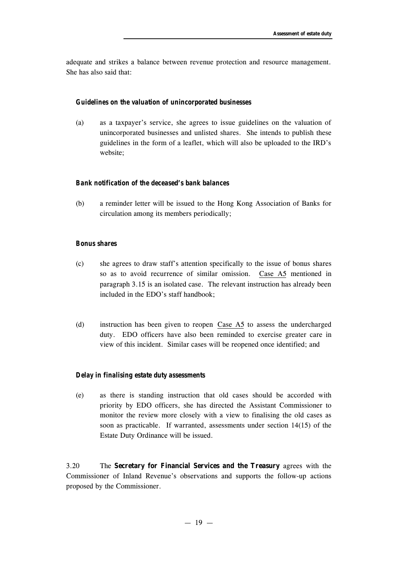adequate and strikes a balance between revenue protection and resource management. She has also said that:

## *Guidelines on the valuation of unincorporated businesses*

(a) as a taxpayer's service, she agrees to issue guidelines on the valuation of unincorporated businesses and unlisted shares. She intends to publish these guidelines in the form of a leaflet, which will also be uploaded to the IRD's website;

#### *Bank notification of the deceased's bank balances*

(b) a reminder letter will be issued to the Hong Kong Association of Banks for circulation among its members periodically;

#### *Bonus shares*

- (c) she agrees to draw staff's attention specifically to the issue of bonus shares so as to avoid recurrence of similar omission. Case A5 mentioned in paragraph 3.15 is an isolated case. The relevant instruction has already been included in the EDO's staff handbook;
- (d) instruction has been given to reopen Case A5 to assess the undercharged duty. EDO officers have also been reminded to exercise greater care in view of this incident. Similar cases will be reopened once identified; and

#### *Delay in finalising estate duty assessments*

(e) as there is standing instruction that old cases should be accorded with priority by EDO officers, she has directed the Assistant Commissioner to monitor the review more closely with a view to finalising the old cases as soon as practicable. If warranted, assessments under section 14(15) of the Estate Duty Ordinance will be issued.

3.20 The **Secretary for Financial Services and the Treasury** agrees with the Commissioner of Inland Revenue's observations and supports the follow-up actions proposed by the Commissioner.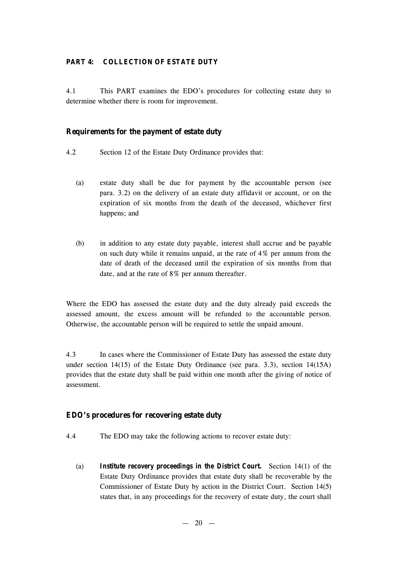#### **PART 4: COLLECTION OF ESTATE DUTY**

4.1 This PART examines the EDO's procedures for collecting estate duty to determine whether there is room for improvement.

## **Requirements for the payment of estate duty**

- 4.2 Section 12 of the Estate Duty Ordinance provides that:
	- (a) estate duty shall be due for payment by the accountable person (see para. 3.2) on the delivery of an estate duty affidavit or account, or on the expiration of six months from the death of the deceased, whichever first happens; and
	- (b) in addition to any estate duty payable, interest shall accrue and be payable on such duty while it remains unpaid, at the rate of 4% per annum from the date of death of the deceased until the expiration of six months from that date, and at the rate of 8% per annum thereafter.

Where the EDO has assessed the estate duty and the duty already paid exceeds the assessed amount, the excess amount will be refunded to the accountable person. Otherwise, the accountable person will be required to settle the unpaid amount.

4.3 In cases where the Commissioner of Estate Duty has assessed the estate duty under section 14(15) of the Estate Duty Ordinance (see para. 3.3), section 14(15A) provides that the estate duty shall be paid within one month after the giving of notice of assessment.

## **EDO's procedures for recovering estate duty**

- 4.4 The EDO may take the following actions to recover estate duty:
	- (a) *Institute recovery proceedings in the District Court.* Section 14(1) of the Estate Duty Ordinance provides that estate duty shall be recoverable by the Commissioner of Estate Duty by action in the District Court. Section 14(5) states that, in any proceedings for the recovery of estate duty, the court shall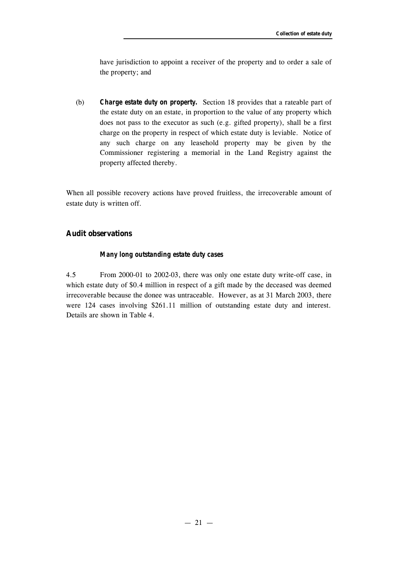have jurisdiction to appoint a receiver of the property and to order a sale of the property; and

(b) *Charge estate duty on property.* Section 18 provides that a rateable part of the estate duty on an estate, in proportion to the value of any property which does not pass to the executor as such (e.g. gifted property), shall be a first charge on the property in respect of which estate duty is leviable. Notice of any such charge on any leasehold property may be given by the Commissioner registering a memorial in the Land Registry against the property affected thereby.

When all possible recovery actions have proved fruitless, the irrecoverable amount of estate duty is written off.

## **Audit observations**

## *Many long outstanding estate duty cases*

4.5 From 2000-01 to 2002-03, there was only one estate duty write-off case, in which estate duty of \$0.4 million in respect of a gift made by the deceased was deemed irrecoverable because the donee was untraceable. However, as at 31 March 2003, there were 124 cases involving \$261.11 million of outstanding estate duty and interest. Details are shown in Table 4.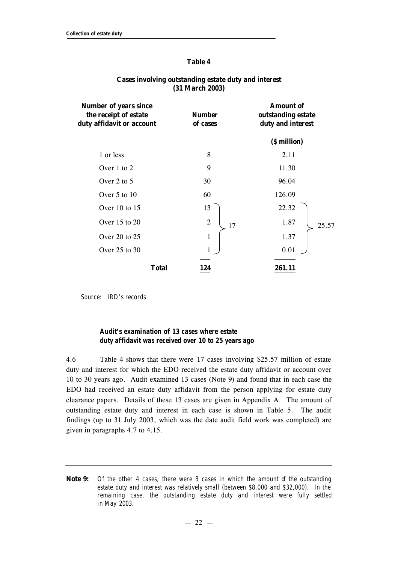#### **Table 4**

| <b>Number of years since</b><br>the receipt of estate<br>duty affidavit or account | <b>Number</b><br>of cases | <b>Amount of</b><br>outstanding estate<br>duty and interest |  |
|------------------------------------------------------------------------------------|---------------------------|-------------------------------------------------------------|--|
|                                                                                    |                           | (\$ million)                                                |  |
| 1 or less                                                                          | 8                         | 2.11                                                        |  |
| Over $1$ to $2$                                                                    | 9                         | 11.30                                                       |  |
| Over 2 to 5                                                                        | 30                        | 96.04                                                       |  |
| Over $5$ to $10$                                                                   | 60                        | 126.09                                                      |  |
| Over 10 to 15                                                                      | 13                        | 22.32                                                       |  |
| Over $15$ to $20$                                                                  | $\overline{2}$<br>17      | 1.87<br>25.57                                               |  |
| Over 20 to 25                                                                      | $\mathbf{1}$              | 1.37                                                        |  |
| Over $25$ to $30$                                                                  | $\mathbf{1}$              | 0.01                                                        |  |
| <b>Total</b>                                                                       | 124                       | 261.11                                                      |  |

#### **Cases involving outstanding estate duty and interest (31 March 2003)**

*Source: IRD's records*

## *Audit's examination of 13 cases where estate duty affidavit was received over 10 to 25 years ago*

4.6 Table 4 shows that there were 17 cases involving \$25.57 million of estate duty and interest for which the EDO received the estate duty affidavit or account over 10 to 30 years ago. Audit examined 13 cases (Note 9) and found that in each case the EDO had received an estate duty affidavit from the person applying for estate duty clearance papers. Details of these 13 cases are given in Appendix A. The amount of outstanding estate duty and interest in each case is shown in Table 5. The audit findings (up to 31 July 2003, which was the date audit field work was completed) are given in paragraphs 4.7 to 4.15.

**Note 9:** *Of the other 4 cases, there were 3 cases in which the amount of the outstanding estate duty and interest was relatively small (between \$8,000 and \$32,000). In the remaining case, the outstanding estate duty and interest were fully settled in May 2003.*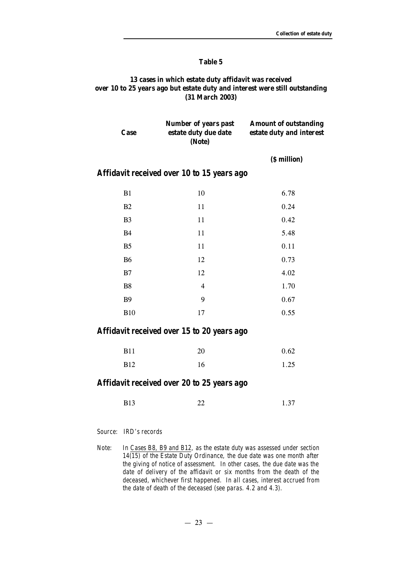#### **Table 5**

## **13 cases in which estate duty affidavit was received over 10 to 25 years ago but estate duty and interest were still outstanding (31 March 2003)**

| Case           | Number of years past<br>estate duty due date<br>(Note) | <b>Amount of outstanding</b><br>estate duty and interest |
|----------------|--------------------------------------------------------|----------------------------------------------------------|
|                |                                                        | (\$ million)                                             |
|                | Affidavit received over 10 to 15 years ago             |                                                          |
| B1             | 10                                                     | 6.78                                                     |
| <b>B2</b>      | 11                                                     | 0.24                                                     |
| B <sub>3</sub> | 11                                                     | 0.42                                                     |
| <b>B4</b>      | 11                                                     | 5.48                                                     |
| B <sub>5</sub> | 11                                                     | 0.11                                                     |
| <b>B6</b>      | 12                                                     | 0.73                                                     |
| B7             | 12                                                     | 4.02                                                     |
| B8             | $\overline{4}$                                         | 1.70                                                     |
| <b>B9</b>      | 9                                                      | 0.67                                                     |

## *Affidavit received over 15 to 20 years ago*

| <b>B11</b> | 20 | 0.62 |
|------------|----|------|
| <b>B12</b> | 16 | 1.25 |

B10 17 0.55

## *Affidavit received over 20 to 25 years ago*

*Source: IRD's records*

*Note: In Cases B8, B9 and B12, as the estate duty was assessed under section 14(15) of the Estate Duty Ordinance, the due date was one month after the giving of notice of assessment. In other cases, the due date was the date of delivery of the affidavit or six months from the death of the deceased, whichever first happened. In all cases, interest accrued from the date of death of the deceased (see paras. 4.2 and 4.3).*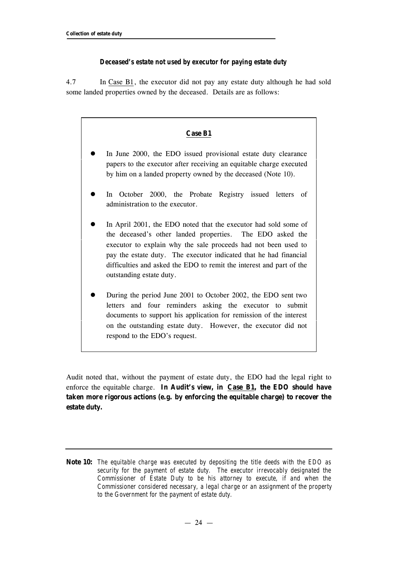## *Deceased's estate not used by executor for paying estate duty*

4.7 In Case B1, the executor did not pay any estate duty although he had sold some landed properties owned by the deceased. Details are as follows:

## **Case B1**

- In June 2000, the EDO issued provisional estate duty clearance papers to the executor after receiving an equitable charge executed by him on a landed property owned by the deceased (Note 10).
- In October 2000, the Probate Registry issued letters of administration to the executor.
- In April 2001, the EDO noted that the executor had sold some of the deceased's other landed properties. The EDO asked the executor to explain why the sale proceeds had not been used to pay the estate duty. The executor indicated that he had financial difficulties and asked the EDO to remit the interest and part of the outstanding estate duty.
- l During the period June 2001 to October 2002, the EDO sent two letters and four reminders asking the executor to submit documents to support his application for remission of the interest on the outstanding estate duty. However, the executor did not respond to the EDO's request.

Audit noted that, without the payment of estate duty, the EDO had the legal right to enforce the equitable charge. **In Audit's view, in Case B1, the EDO should have taken more rigorous actions (e.g. by enforcing the equitable charge) to recover the estate duty.**

**Note 10:** *The equitable charge was executed by depositing the title deeds with the EDO as security for the payment of estate duty. The executor irrevocably designated the Commissioner of Estate Duty to be his attorney to execute, if and when the Commissioner considered necessary, a legal charge or an assignment of the property to the Government for the payment of estate duty.*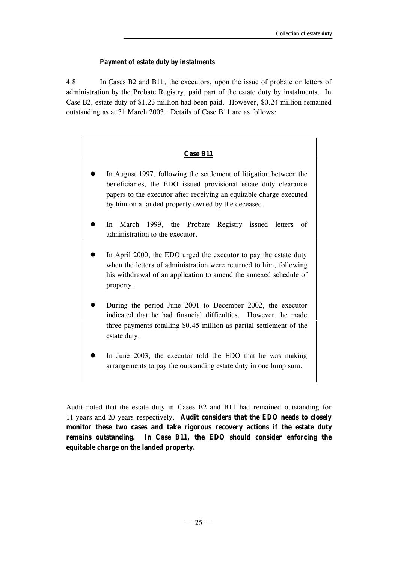#### *Payment of estate duty by instalments*

4.8 In Cases B2 and B11, the executors, upon the issue of probate or letters of administration by the Probate Registry, paid part of the estate duty by instalments. In Case B2, estate duty of \$1.23 million had been paid. However, \$0.24 million remained outstanding as at 31 March 2003. Details of Case B11 are as follows:

#### **Case B11**

- In August 1997, following the settlement of litigation between the beneficiaries, the EDO issued provisional estate duty clearance papers to the executor after receiving an equitable charge executed by him on a landed property owned by the deceased.
- In March 1999, the Probate Registry issued letters of administration to the executor.
- In April 2000, the EDO urged the executor to pay the estate duty when the letters of administration were returned to him, following his withdrawal of an application to amend the annexed schedule of property.
- l During the period June 2001 to December 2002, the executor indicated that he had financial difficulties. However, he made three payments totalling \$0.45 million as partial settlement of the estate duty.
- In June 2003, the executor told the EDO that he was making arrangements to pay the outstanding estate duty in one lump sum.

Audit noted that the estate duty in Cases B2 and B11 had remained outstanding for 11 years and 20 years respectively. **Audit considers that the EDO needs to closely monitor these two cases and take rigorous recovery actions if the estate duty remains outstanding. In Case B11, the EDO should consider enforcing the equitable charge on the landed property.**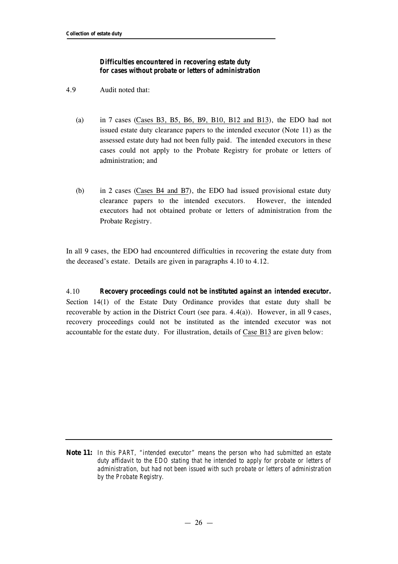## *Difficulties encountered in recovering estate duty for cases without probate or letters of administration*

- 4.9 Audit noted that:
	- (a) in 7 cases (Cases B3, B5, B6, B9, B10, B12 and B13), the EDO had not issued estate duty clearance papers to the intended executor (Note 11) as the assessed estate duty had not been fully paid. The intended executors in these cases could not apply to the Probate Registry for probate or letters of administration; and
	- (b) in 2 cases (Cases B4 and B7), the EDO had issued provisional estate duty clearance papers to the intended executors. However, the intended executors had not obtained probate or letters of administration from the Probate Registry.

In all 9 cases, the EDO had encountered difficulties in recovering the estate duty from the deceased's estate. Details are given in paragraphs 4.10 to 4.12.

4.10 *Recovery proceedings could not be instituted against an intended executor.* Section 14(1) of the Estate Duty Ordinance provides that estate duty shall be recoverable by action in the District Court (see para. 4.4(a)). However, in all 9 cases, recovery proceedings could not be instituted as the intended executor was not accountable for the estate duty. For illustration, details of Case B13 are given below:

**Note 11:** *In this PART, "intended executor" means the person who had submitted an estate duty affidavit to the EDO stating that he intended to apply for probate or letters of administration, but had not been issued with such probate or letters of administration by the Probate Registry.*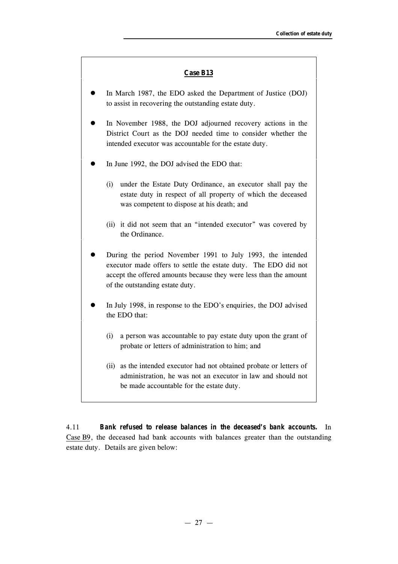#### **Case B13**

- In March 1987, the EDO asked the Department of Justice (DOJ) to assist in recovering the outstanding estate duty.
- In November 1988, the DOJ adjourned recovery actions in the District Court as the DOJ needed time to consider whether the intended executor was accountable for the estate duty.
- In June 1992, the DOJ advised the EDO that:
	- (i) under the Estate Duty Ordinance, an executor shall pay the estate duty in respect of all property of which the deceased was competent to dispose at his death; and
	- (ii) it did not seem that an "intended executor" was covered by the Ordinance.
- l During the period November 1991 to July 1993, the intended executor made offers to settle the estate duty. The EDO did not accept the offered amounts because they were less than the amount of the outstanding estate duty.
- In July 1998, in response to the EDO's enquiries, the DOJ advised the EDO that:
	- (i) a person was accountable to pay estate duty upon the grant of probate or letters of administration to him; and
	- (ii) as the intended executor had not obtained probate or letters of administration, he was not an executor in law and should not be made accountable for the estate duty.

4.11 *Bank refused to release balances in the deceased's bank accounts.* In Case B9, the deceased had bank accounts with balances greater than the outstanding estate duty. Details are given below: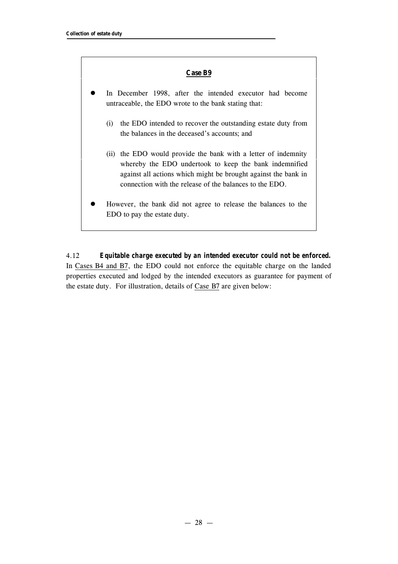#### **Case B9**

- In December 1998, after the intended executor had become untraceable, the EDO wrote to the bank stating that:
	- (i) the EDO intended to recover the outstanding estate duty from the balances in the deceased's accounts; and
	- (ii) the EDO would provide the bank with a letter of indemnity whereby the EDO undertook to keep the bank indemnified against all actions which might be brought against the bank in connection with the release of the balances to the EDO.
- l However, the bank did not agree to release the balances to the EDO to pay the estate duty.

4.12 *Equitable charge executed by an intended executor could not be enforced.* In Cases B4 and B7, the EDO could not enforce the equitable charge on the landed properties executed and lodged by the intended executors as guarantee for payment of the estate duty. For illustration, details of Case B7 are given below: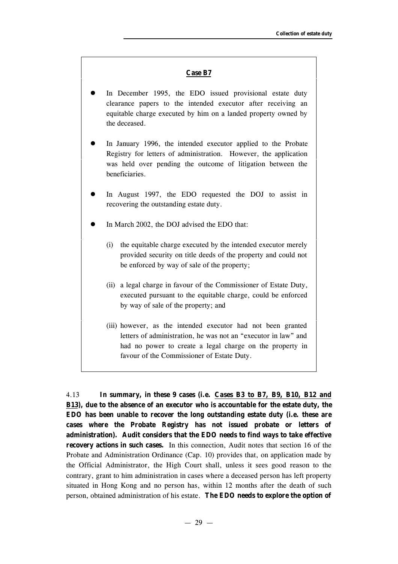#### **Case B7**

- In December 1995, the EDO issued provisional estate duty clearance papers to the intended executor after receiving an equitable charge executed by him on a landed property owned by the deceased.
- In January 1996, the intended executor applied to the Probate Registry for letters of administration. However, the application was held over pending the outcome of litigation between the beneficiaries.
- In August 1997, the EDO requested the DOJ to assist in recovering the outstanding estate duty.
- In March 2002, the DOJ advised the EDO that:
	- (i) the equitable charge executed by the intended executor merely provided security on title deeds of the property and could not be enforced by way of sale of the property;
	- (ii) a legal charge in favour of the Commissioner of Estate Duty, executed pursuant to the equitable charge, could be enforced by way of sale of the property; and
	- (iii) however, as the intended executor had not been granted letters of administration, he was not an "executor in law" and had no power to create a legal charge on the property in favour of the Commissioner of Estate Duty.

4.13 **In summary, in these 9 cases (i.e. Cases B3 to B7, B9, B10, B12 and B13), due to the absence of an executor who is accountable for the estate duty, the EDO has been unable to recover the long outstanding estate duty (i.e. these are cases where the Probate Registry has not issued probate or letters of administration). Audit considers that the EDO needs to find ways to take effective recovery actions in such cases.** In this connection, Audit notes that section 16 of the Probate and Administration Ordinance (Cap. 10) provides that, on application made by the Official Administrator, the High Court shall, unless it sees good reason to the contrary, grant to him administration in cases where a deceased person has left property situated in Hong Kong and no person has, within 12 months after the death of such person, obtained administration of his estate. **The EDO needs to explore the option of**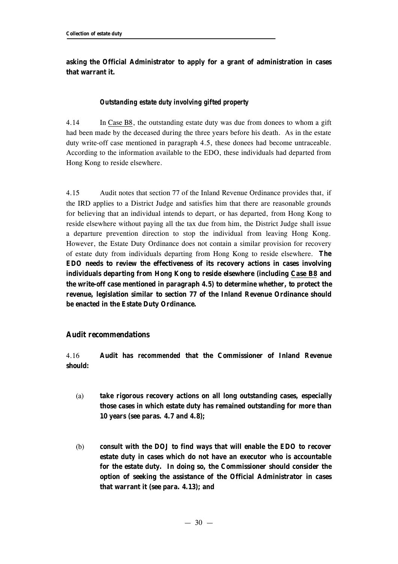## **asking the Official Administrator to apply for a grant of administration in cases that warrant it.**

## *Outstanding estate duty involving gifted property*

4.14 In Case B8, the outstanding estate duty was due from donees to whom a gift had been made by the deceased during the three years before his death. As in the estate duty write-off case mentioned in paragraph 4.5, these donees had become untraceable. According to the information available to the EDO, these individuals had departed from Hong Kong to reside elsewhere.

4.15 Audit notes that section 77 of the Inland Revenue Ordinance provides that, if the IRD applies to a District Judge and satisfies him that there are reasonable grounds for believing that an individual intends to depart, or has departed, from Hong Kong to reside elsewhere without paying all the tax due from him, the District Judge shall issue a departure prevention direction to stop the individual from leaving Hong Kong. However, the Estate Duty Ordinance does not contain a similar provision for recovery of estate duty from individuals departing from Hong Kong to reside elsewhere. **The EDO needs to review the effectiveness of its recovery actions in cases involving individuals departing from Hong Kong to reside elsewhere (including Case B8 and the write-off case mentioned in paragraph 4.5) to determine whether, to protect the revenue, legislation similar to section 77 of the Inland Revenue Ordinance should be enacted in the Estate Duty Ordinance.**

## **Audit recommendations**

4.16 **Audit has** *recommended* **that the Commissioner of Inland Revenue should:**

- (a) **take rigorous recovery actions on all long outstanding cases, especially those cases in which estate duty has remained outstanding for more than 10 years (see paras. 4.7 and 4.8);**
- (b) **consult with the DOJ to find ways that will enable the EDO to recover estate duty in cases which do not have an executor who is accountable for the estate duty. In doing so, the Commissioner should consider the option of seeking the assistance of the Official Administrator in cases that warrant it (see para. 4.13); and**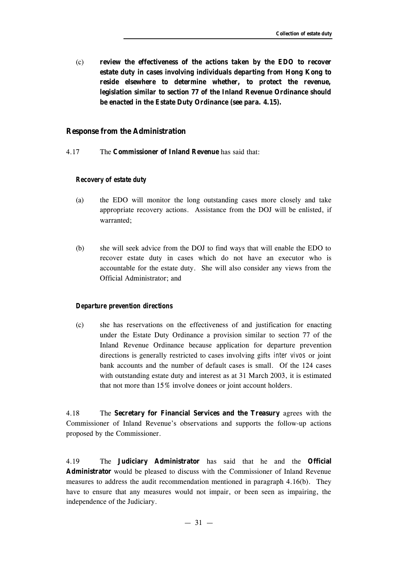(c) **review the effectiveness of the actions taken by the EDO to recover estate duty in cases involving individuals departing from Hong Kong to reside elsewhere to determine whether, to protect the revenue, legislation similar to section 77 of the Inland Revenue Ordinance should be enacted in the Estate Duty Ordinance (see para. 4.15).**

#### **Response from the Administration**

4.17 The **Commissioner of Inland Revenue** has said that:

#### *Recovery of estate duty*

- (a) the EDO will monitor the long outstanding cases more closely and take appropriate recovery actions. Assistance from the DOJ will be enlisted, if warranted;
- (b) she will seek advice from the DOJ to find ways that will enable the EDO to recover estate duty in cases which do not have an executor who is accountable for the estate duty. She will also consider any views from the Official Administrator; and

#### *Departure prevention directions*

(c) she has reservations on the effectiveness of and justification for enacting under the Estate Duty Ordinance a provision similar to section 77 of the Inland Revenue Ordinance because application for departure prevention directions is generally restricted to cases involving gifts *inter vivos* or joint bank accounts and the number of default cases is small. Of the 124 cases with outstanding estate duty and interest as at 31 March 2003, it is estimated that not more than 15% involve donees or joint account holders.

4.18 The **Secretary for Financial Services and the Treasury** agrees with the Commissioner of Inland Revenue's observations and supports the follow-up actions proposed by the Commissioner.

4.19 The **Judiciary Administrator** has said that he and the **Official Administrator** would be pleased to discuss with the Commissioner of Inland Revenue measures to address the audit recommendation mentioned in paragraph 4.16(b). They have to ensure that any measures would not impair, or been seen as impairing, the independence of the Judiciary.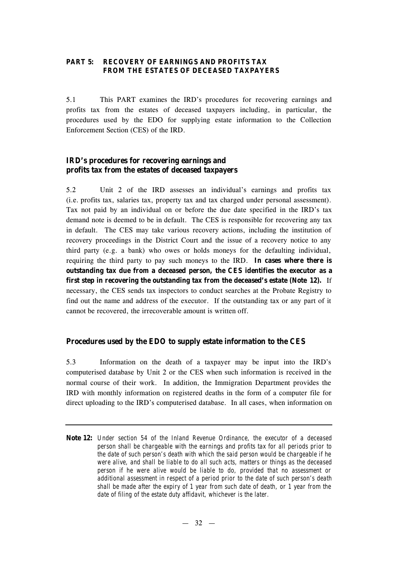## **PART 5: RECOVERY OF EARNINGS AND PROFITS TAX FROM THE ESTATES OF DECEASED TAXPAYERS**

5.1 This PART examines the IRD's procedures for recovering earnings and profits tax from the estates of deceased taxpayers including, in particular, the procedures used by the EDO for supplying estate information to the Collection Enforcement Section (CES) of the IRD.

## **IRD's procedures for recovering earnings and profits tax from the estates of deceased taxpayers**

5.2 Unit 2 of the IRD assesses an individual's earnings and profits tax (i.e. profits tax, salaries tax, property tax and tax charged under personal assessment). Tax not paid by an individual on or before the due date specified in the IRD's tax demand note is deemed to be in default. The CES is responsible for recovering any tax in default. The CES may take various recovery actions, including the institution of recovery proceedings in the District Court and the issue of a recovery notice to any third party (e.g. a bank) who owes or holds moneys for the defaulting individual, requiring the third party to pay such moneys to the IRD. **In cases where there is outstanding tax due from a deceased person, the CES identifies the executor as a first step in recovering the outstanding tax from the deceased's estate (Note 12).** If necessary, the CES sends tax inspectors to conduct searches at the Probate Registry to find out the name and address of the executor. If the outstanding tax or any part of it cannot be recovered, the irrecoverable amount is written off.

## **Procedures used by the EDO to supply estate information to the CES**

5.3 Information on the death of a taxpayer may be input into the IRD's computerised database by Unit 2 or the CES when such information is received in the normal course of their work. In addition, the Immigration Department provides the IRD with monthly information on registered deaths in the form of a computer file for direct uploading to the IRD's computerised database. In all cases, when information on

**Note 12:** *Under section 54 of the Inland Revenue Ordinance, the executor of a deceased person shall be chargeable with the earnings and profits tax for all periods prior to the date of such person's death with which the said person would be chargeable if he were alive, and shall be liable to do all such acts, matters or things as the deceased person if he were alive would be liable to do, provided that no assessment or additional assessment in respect of a period prior to the date of such person's death shall be made after the expiry of 1 year from such date of death, or 1 year from the date of filing of the estate duty affidavit, whichever is the later.*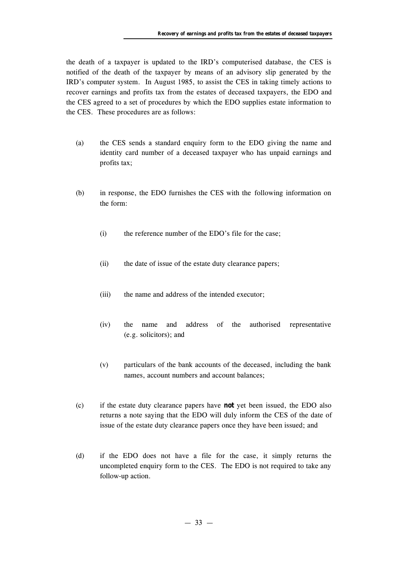the death of a taxpayer is updated to the IRD's computerised database, the CES is notified of the death of the taxpayer by means of an advisory slip generated by the IRD's computer system. In August 1985, to assist the CES in taking timely actions to recover earnings and profits tax from the estates of deceased taxpayers, the EDO and the CES agreed to a set of procedures by which the EDO supplies estate information to the CES. These procedures are as follows:

- (a) the CES sends a standard enquiry form to the EDO giving the name and identity card number of a deceased taxpayer who has unpaid earnings and profits tax;
- (b) in response, the EDO furnishes the CES with the following information on the form:
	- (i) the reference number of the EDO's file for the case;
	- (ii) the date of issue of the estate duty clearance papers;
	- (iii) the name and address of the intended executor;
	- (iv) the name and address of the authorised representative (e.g. solicitors); and
	- (v) particulars of the bank accounts of the deceased, including the bank names, account numbers and account balances;
- (c) if the estate duty clearance papers have **not** yet been issued, the EDO also returns a note saying that the EDO will duly inform the CES of the date of issue of the estate duty clearance papers once they have been issued; and
- (d) if the EDO does not have a file for the case, it simply returns the uncompleted enquiry form to the CES. The EDO is not required to take any follow-up action.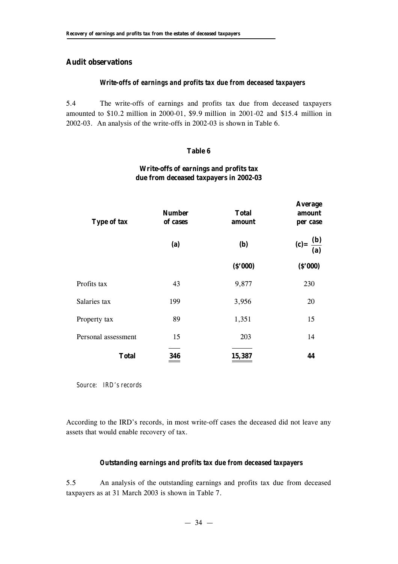## **Audit observations**

## *Write-offs of earnings and profits tax due from deceased taxpayers*

5.4 The write-offs of earnings and profits tax due from deceased taxpayers amounted to \$10.2 million in 2000-01, \$9.9 million in 2001-02 and \$15.4 million in 2002-03. An analysis of the write-offs in 2002-03 is shown in Table 6.

#### **Table 6**

# **Write-offs of earnings and profits tax due from deceased taxpayers in 2002-03**

**Average**

| <b>Type of tax</b>  | <b>Number</b><br>of cases | <b>Total</b><br>amount | 11104450<br>amount<br>per case |  |
|---------------------|---------------------------|------------------------|--------------------------------|--|
|                     | (a)                       | <b>(b)</b>             | (c) = $\frac{(b)}{(a)}$        |  |
|                     |                           | (S'000)                | (S'000)                        |  |
| Profits tax         | 43                        | 9,877                  | 230                            |  |
| Salaries tax        | 199                       | 3,956                  | 20                             |  |
| Property tax        | 89                        | 1,351                  | 15                             |  |
| Personal assessment | 15                        | 203                    | 14                             |  |
| <b>Total</b>        | 346                       | 15,387                 | 44                             |  |

*Source: IRD's records*

According to the IRD's records, in most write-off cases the deceased did not leave any assets that would enable recovery of tax.

## *Outstanding earnings and profits tax due from deceased taxpayers*

5.5 An analysis of the outstanding earnings and profits tax due from deceased taxpayers as at 31 March 2003 is shown in Table 7.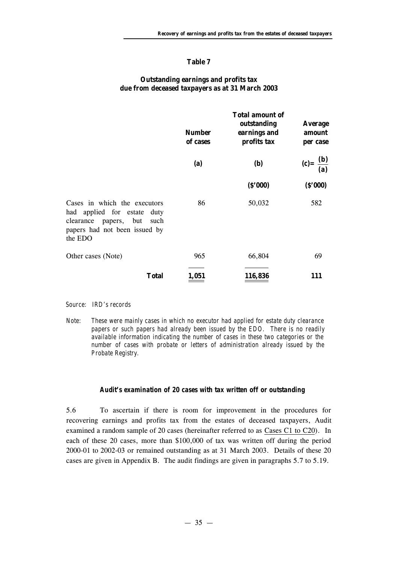#### **Table 7**

## **Outstanding earnings and profits tax due from deceased taxpayers as at 31 March 2003**

|                                                                                                                                             | <b>Number</b><br>of cases | <b>Total amount of</b><br>outstanding<br>earnings and<br>profits tax | <b>Average</b><br>amount<br>per case |  |
|---------------------------------------------------------------------------------------------------------------------------------------------|---------------------------|----------------------------------------------------------------------|--------------------------------------|--|
|                                                                                                                                             | (a)                       | <b>(b)</b>                                                           | (c) = $\frac{(b)}{(a)}$              |  |
|                                                                                                                                             |                           | (S'000)                                                              | (S'000)                              |  |
| Cases in which the executors<br>had applied for estate duty<br>clearance<br>papers, but<br>such<br>papers had not been issued by<br>the EDO | 86                        | 50,032                                                               | 582                                  |  |
| Other cases (Note)                                                                                                                          | 965                       | 66,804                                                               | 69                                   |  |
| <b>Total</b>                                                                                                                                | 1,051                     | 116,836                                                              | 111                                  |  |

#### *Source: IRD's records*

*Note: These were mainly cases in which no executor had applied for estate duty clearance papers or such papers had already been issued by the EDO. There is no readily available information indicating the number of cases in these two categories or the number of cases with probate or letters of administration already issued by the Probate Registry.*

#### *Audit's examination of 20 cases with tax written off or outstanding*

5.6 To ascertain if there is room for improvement in the procedures for recovering earnings and profits tax from the estates of deceased taxpayers, Audit examined a random sample of 20 cases (hereinafter referred to as Cases C1 to C20). In each of these 20 cases, more than \$100,000 of tax was written off during the period 2000-01 to 2002-03 or remained outstanding as at 31 March 2003. Details of these 20 cases are given in Appendix B. The audit findings are given in paragraphs 5.7 to 5.19.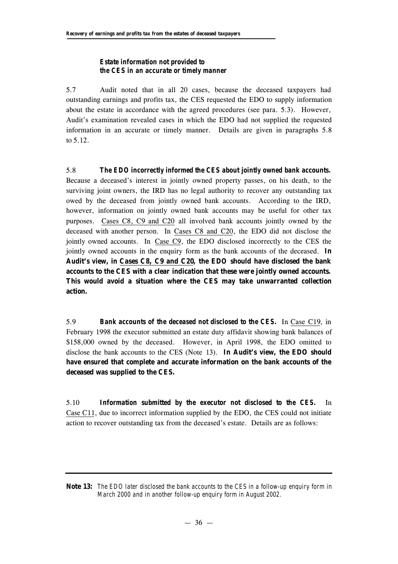## *Estate information not provided to the CES in an accurate or timely manner*

5.7 Audit noted that in all 20 cases, because the deceased taxpayers had outstanding earnings and profits tax, the CES requested the EDO to supply information about the estate in accordance with the agreed procedures (see para. 5.3). However, Audit's examination revealed cases in which the EDO had not supplied the requested information in an accurate or timely manner. Details are given in paragraphs 5.8 to 5.12.

5.8 *The EDO incorrectly informed the CES about jointly owned bank accounts.* Because a deceased's interest in jointly owned property passes, on his death, to the surviving joint owners, the IRD has no legal authority to recover any outstanding tax owed by the deceased from jointly owned bank accounts. According to the IRD, however, information on jointly owned bank accounts may be useful for other tax purposes. Cases C8, C9 and C20 all involved bank accounts jointly owned by the deceased with another person. In Cases C8 and C20, the EDO did not disclose the jointly owned accounts. In Case C9, the EDO disclosed incorrectly to the CES the jointly owned accounts in the enquiry form as the bank accounts of the deceased. **In Audit's view, in Cases C8, C9 and C20, the EDO should have disclosed the bank accounts to the CES with a clear indication that these were jointly owned accounts. This would avoid a situation where the CES may take unwarranted collection action.**

5.9 *Bank accounts of the deceased not disclosed to the CES.* In Case C19, in February 1998 the executor submitted an estate duty affidavit showing bank balances of \$158,000 owned by the deceased. However, in April 1998, the EDO omitted to disclose the bank accounts to the CES (Note 13). **In Audit's view, the EDO should have ensured that complete and accurate information on the bank accounts of the deceased was supplied to the CES.**

5.10 *Information submitted by the executor not disclosed to the CES.* In Case C11, due to incorrect information supplied by the EDO, the CES could not initiate action to recover outstanding tax from the deceased's estate. Details are as follows:

**Note 13:** *The EDO later disclosed the bank accounts to the CES in a follow-up enquiry form in March 2000 and in another follow-up enquiry form in August 2002.*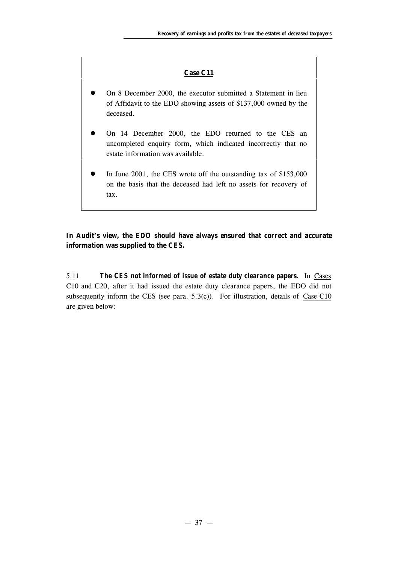## **Case C11**

- l On 8 December 2000, the executor submitted a Statement in lieu of Affidavit to the EDO showing assets of \$137,000 owned by the deceased.
- On 14 December 2000, the EDO returned to the CES an uncompleted enquiry form, which indicated incorrectly that no estate information was available.
- In June 2001, the CES wrote off the outstanding tax of \$153,000 on the basis that the deceased had left no assets for recovery of tax.

## **In Audit's view, the EDO should have always ensured that correct and accurate information was supplied to the CES.**

5.11 *The CES not informed of issue of estate duty clearance papers.* In Cases C10 and C20, after it had issued the estate duty clearance papers, the EDO did not subsequently inform the CES (see para.  $5.3(c)$ ). For illustration, details of Case C10 are given below: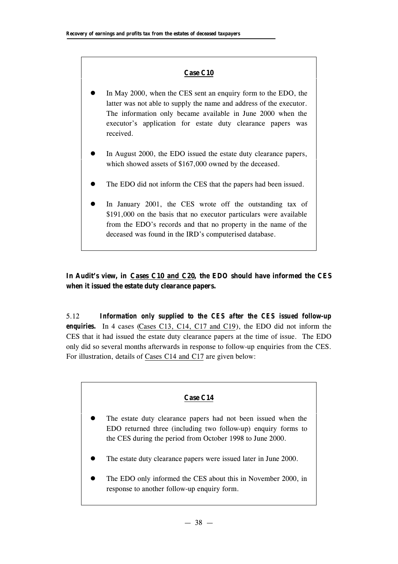## **Case C10**

- In May 2000, when the CES sent an enquiry form to the EDO, the latter was not able to supply the name and address of the executor. The information only became available in June 2000 when the executor's application for estate duty clearance papers was received.
- In August 2000, the EDO issued the estate duty clearance papers, which showed assets of \$167,000 owned by the deceased.
- The EDO did not inform the CES that the papers had been issued.
- In January 2001, the CES wrote off the outstanding tax of \$191,000 on the basis that no executor particulars were available from the EDO's records and that no property in the name of the deceased was found in the IRD's computerised database.

**In Audit's view, in Cases C10 and C20, the EDO should have informed the CES when it issued the estate duty clearance papers.**

5.12 *Information only supplied to the CES after the CES issued follow-up enquiries.* In 4 cases (Cases C13, C14, C17 and C19), the EDO did not inform the CES that it had issued the estate duty clearance papers at the time of issue. The EDO only did so several months afterwards in response to follow-up enquiries from the CES. For illustration, details of Cases C14 and C17 are given below:

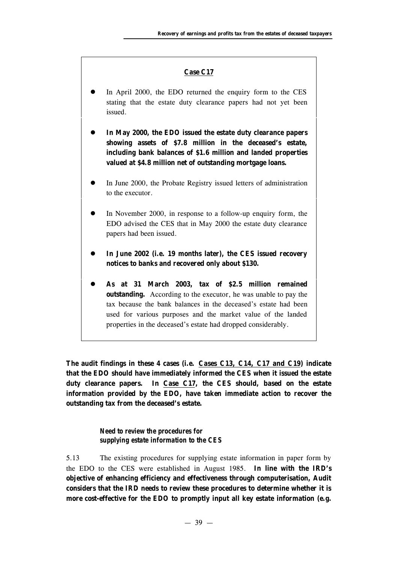#### **Case C17**

- In April 2000, the EDO returned the enquiry form to the CES stating that the estate duty clearance papers had not yet been issued.
- In May 2000, the EDO issued the estate duty clearance papers **showing assets of \$7.8 million in the deceased's estate, including bank balances of \$1.6 million and landed properties valued at \$4.8 million net of outstanding mortgage loans.**
- In June 2000, the Probate Registry issued letters of administration to the executor.
- In November 2000, in response to a follow-up enquiry form, the EDO advised the CES that in May 2000 the estate duty clearance papers had been issued.
- In June 2002 (i.e. 19 months later), the CES issued recovery **notices to banks and recovered only about \$130.**
- l **As at 31 March 2003, tax of \$2.5 million remained outstanding.** According to the executor, he was unable to pay the tax because the bank balances in the deceased's estate had been used for various purposes and the market value of the landed properties in the deceased's estate had dropped considerably.

**The audit findings in these 4 cases (i.e. Cases C13, C14, C17 and C19) indicate that the EDO should have immediately informed the CES when it issued the estate duty clearance papers. In Case C17, the CES should, based on the estate information provided by the EDO, have taken immediate action to recover the outstanding tax from the deceased's estate.**

> *Need to review the procedures for supplying estate information to the CES*

5.13 The existing procedures for supplying estate information in paper form by the EDO to the CES were established in August 1985. **In line with the IRD's objective of enhancing efficiency and effectiveness through computerisation, Audit considers that the IRD needs to review these procedures to determine whether it is more cost-effective for the EDO to promptly input all key estate information (e.g.**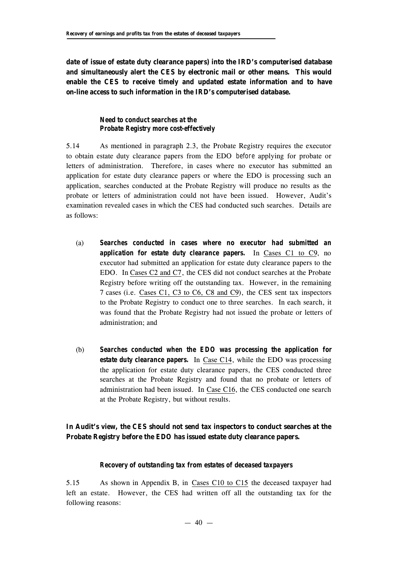**date of issue of estate duty clearance papers) into the IRD's computerised database and simultaneously alert the CES by electronic mail or other means. This would enable the CES to receive timely and updated estate information and to have on-line access to such information in the IRD's computerised database.**

## *Need to conduct searches at the Probate Registry more cost-effectively*

5.14 As mentioned in paragraph 2.3, the Probate Registry requires the executor to obtain estate duty clearance papers from the EDO *before* applying for probate or letters of administration. Therefore, in cases where no executor has submitted an application for estate duty clearance papers or where the EDO is processing such an application, searches conducted at the Probate Registry will produce no results as the probate or letters of administration could not have been issued. However, Audit's examination revealed cases in which the CES had conducted such searches. Details are as follows:

- (a) *Searches conducted in cases where no executor had submitted an application for estate duty clearance papers.* In Cases C1 to C9, no executor had submitted an application for estate duty clearance papers to the EDO. In Cases C2 and C7, the CES did not conduct searches at the Probate Registry before writing off the outstanding tax. However, in the remaining 7 cases (i.e. Cases C1, C3 to C6, C8 and C9), the CES sent tax inspectors to the Probate Registry to conduct one to three searches. In each search, it was found that the Probate Registry had not issued the probate or letters of administration; and
- (b) *Searches conducted when the EDO was processing the application for estate duty clearance papers.* In Case C14, while the EDO was processing the application for estate duty clearance papers, the CES conducted three searches at the Probate Registry and found that no probate or letters of administration had been issued. In Case C16, the CES conducted one search at the Probate Registry, but without results.

## **In Audit's view, the CES should not send tax inspectors to conduct searches at the Probate Registry before the EDO has issued estate duty clearance papers.**

## *Recovery of outstanding tax from estates of deceased taxpayers*

5.15 As shown in Appendix B, in Cases C10 to C15 the deceased taxpayer had left an estate. However, the CES had written off all the outstanding tax for the following reasons: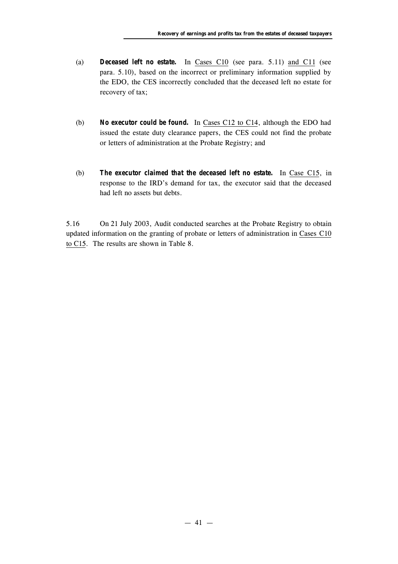- (a) *Deceased left no estate.* In Cases C10 (see para. 5.11) and C11 (see para. 5.10), based on the incorrect or preliminary information supplied by the EDO, the CES incorrectly concluded that the deceased left no estate for recovery of tax;
- (b) *No executor could be found.* In Cases C12 to C14, although the EDO had issued the estate duty clearance papers, the CES could not find the probate or letters of administration at the Probate Registry; and
- (b) *The executor claimed that the deceased left no estate.* In Case C15, in response to the IRD's demand for tax, the executor said that the deceased had left no assets but debts.

5.16 On 21 July 2003, Audit conducted searches at the Probate Registry to obtain updated information on the granting of probate or letters of administration in Cases C10 to C15. The results are shown in Table 8.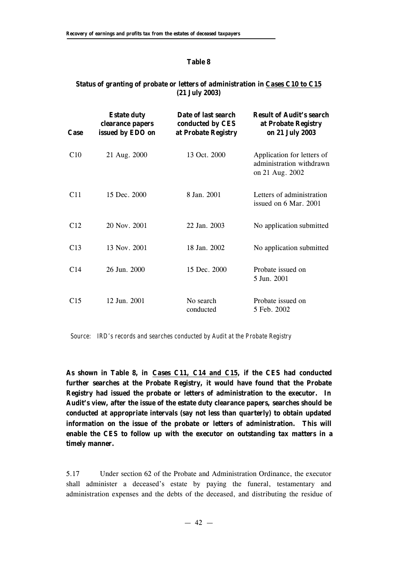#### **Table 8**

## **Status of granting of probate or letters of administration in Cases C10 to C15 (21 July 2003)**

| Case            | <b>Estate duty</b><br>clearance papers<br>issued by EDO on | Date of last search<br>conducted by CES<br>at Probate Registry | <b>Result of Audit's search</b><br>at Probate Registry<br>on 21 July 2003 |
|-----------------|------------------------------------------------------------|----------------------------------------------------------------|---------------------------------------------------------------------------|
| C10             | 21 Aug. 2000                                               | 13 Oct. 2000                                                   | Application for letters of<br>administration withdrawn<br>on 21 Aug. 2002 |
| C <sub>11</sub> | 15 Dec. 2000                                               | 8 Jan. 2001                                                    | Letters of administration<br>issued on 6 Mar. 2001                        |
| C12             | 20 Nov. 2001                                               | 22 Jan. 2003                                                   | No application submitted                                                  |
| C <sub>13</sub> | 13 Nov. 2001                                               | 18 Jan. 2002                                                   | No application submitted                                                  |
| C <sub>14</sub> | 26 Jun. 2000                                               | 15 Dec. 2000                                                   | Probate issued on<br>5 Jun. 2001                                          |
| C <sub>15</sub> | 12 Jun. 2001                                               | No search<br>conducted                                         | Probate issued on<br>5 Feb. 2002                                          |

*Source: IRD's records and searches conducted by Audit at the Probate Registry*

**As shown in Table 8, in Cases C11, C14 and C15, if the CES had conducted further searches at the Probate Registry, it would have found that the Probate Registry had issued the probate or letters of administration to the executor. In Audit's view, after the issue of the estate duty clearance papers, searches should be conducted at appropriate intervals (say not less than quarterly) to obtain updated information on the issue of the probate or letters of administration. This will enable the CES to follow up with the executor on outstanding tax matters in a timely manner.**

5.17 Under section 62 of the Probate and Administration Ordinance, the executor shall administer a deceased's estate by paying the funeral, testamentary and administration expenses and the debts of the deceased, and distributing the residue of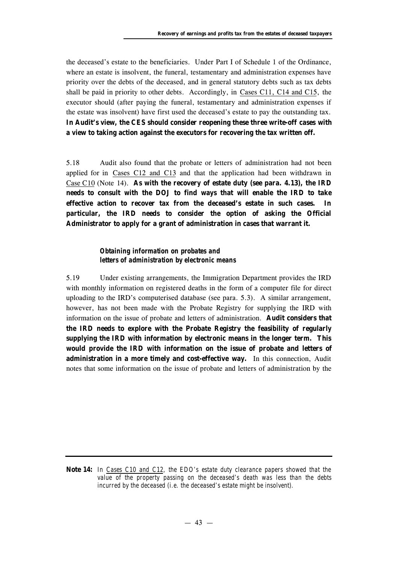the deceased's estate to the beneficiaries. Under Part I of Schedule 1 of the Ordinance, where an estate is insolvent, the funeral, testamentary and administration expenses have priority over the debts of the deceased, and in general statutory debts such as tax debts shall be paid in priority to other debts. Accordingly, in Cases C11, C14 and C15, the executor should (after paying the funeral, testamentary and administration expenses if the estate was insolvent) have first used the deceased's estate to pay the outstanding tax. **In Audit's view, the CES should consider reopening these three write-off cases with a view to taking action against the executors for recovering the tax written off.**

5.18 Audit also found that the probate or letters of administration had not been applied for in Cases C12 and C13 and that the application had been withdrawn in Case C10 (Note 14). **As with the recovery of estate duty (see para. 4.13), the IRD needs to consult with the DOJ to find ways that will enable the IRD to take effective action to recover tax from the deceased's estate in such cases. In particular, the IRD needs to consider the option of asking the Official Administrator to apply for a grant of administration in cases that warrant it.**

## *Obtaining information on probates and letters of administration by electronic means*

5.19 Under existing arrangements, the Immigration Department provides the IRD with monthly information on registered deaths in the form of a computer file for direct uploading to the IRD's computerised database (see para. 5.3). A similar arrangement, however, has not been made with the Probate Registry for supplying the IRD with information on the issue of probate and letters of administration. **Audit considers that the IRD needs to explore with the Probate Registry the feasibility of regularly supplying the IRD with information by electronic means in the longer term. This would provide the IRD with information on the issue of probate and letters of administration in a more timely and cost-effective way.** In this connection, Audit notes that some information on the issue of probate and letters of administration by the

**Note 14:** *In Cases C10 and C12, the EDO's estate duty clearance papers showed that the value of the property passing on the deceased's death was less than the debts incurred by the deceased (i.e. the deceased's estate might be insolvent).*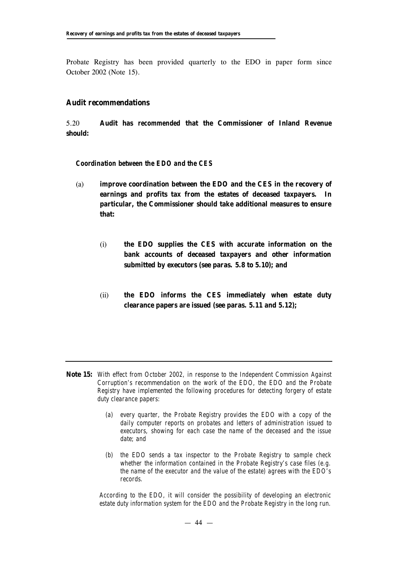Probate Registry has been provided quarterly to the EDO in paper form since October 2002 (Note 15).

#### **Audit recommendations**

5.20 **Audit has** *recommended* **that the Commissioner of Inland Revenue should:**

#### *Coordination between the EDO and the CES*

- (a) **improve coordination between the EDO and the CES in the recovery of earnings and profits tax from the estates of deceased taxpayers. In particular, the Commissioner should take additional measures to ensure that:**
	- (i) **the EDO supplies the CES with accurate information on the bank accounts of deceased taxpayers and other information submitted by executors (see paras. 5.8 to 5.10); and**
	- (ii) **the EDO informs the CES immediately when estate duty clearance papers are issued (see paras. 5.11 and 5.12);**

- **Note 15:** *With effect from October 2002, in response to the Independent Commission Against Corruption's recommendation on the work of the EDO, the EDO and the Probate Registry have implemented the following procedures for detecting forgery of estate duty clearance papers:*
	- *(a) every quarter, the Probate Registry provides the EDO with a copy of the daily computer reports on probates and letters of administration issued to executors, showing for each case the name of the deceased and the issue date; and*
	- *(b) the EDO sends a tax inspector to the Probate Registry to sample check whether the information contained in the Probate Registry's case files (e.g. the name of the executor and the value of the estate) agrees with the EDO's records.*

*According to the EDO, it will consider the possibility of developing an electronic estate duty information system for the EDO and the Probate Registry in the long run.*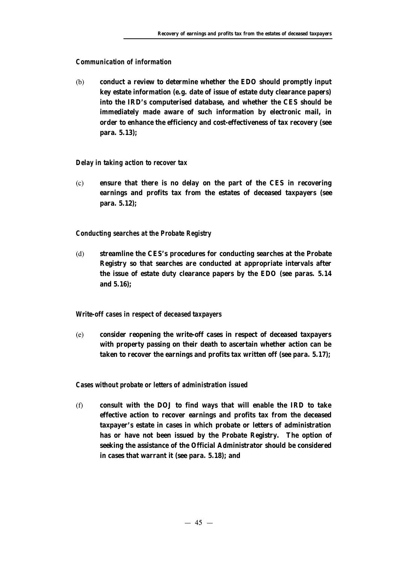## *Communication of information*

(b) **conduct a review to determine whether the EDO should promptly input key estate information (e.g. date of issue of estate duty clearance papers) into the IRD's computerised database, and whether the CES should be immediately made aware of such information by electronic mail, in order to enhance the efficiency and cost-effectiveness of tax recovery (see para. 5.13);**

## *Delay in taking action to recover tax*

(c) **ensure that there is no delay on the part of the CES in recovering earnings and profits tax from the estates of deceased taxpayers (see para. 5.12);**

## *Conducting searches at the Probate Registry*

(d) **streamline the CES's procedures for conducting searches at the Probate Registry so that searches are conducted at appropriate intervals after the issue of estate duty clearance papers by the EDO (see paras. 5.14 and 5.16);**

#### *Write-off cases in respect of deceased taxpayers*

(e) **consider reopening the write-off cases in respect of deceased taxpayers with property passing on their death to ascertain whether action can be taken to recover the earnings and profits tax written off (see para. 5.17);**

#### *Cases without probate or letters of administration issued*

(f) **consult with the DOJ to find ways that will enable the IRD to take effective action to recover earnings and profits tax from the deceased taxpayer's estate in cases in which probate or letters of administration has or have not been issued by the Probate Registry. The option of seeking the assistance of the Official Administrator should be considered in cases that warrant it (see para. 5.18); and**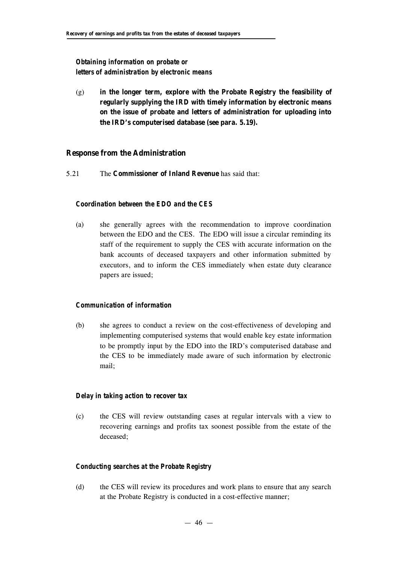## *Obtaining information on probate or letters of administration by electronic means*

(g) **in the longer term, explore with the Probate Registry the feasibility of regularly supplying the IRD with timely information by electronic means on the issue of probate and letters of administration for uploading into the IRD's computerised database (see para. 5.19).**

## **Response from the Administration**

5.21 The **Commissioner of Inland Revenue** has said that:

## *Coordination between the EDO and the CES*

(a) she generally agrees with the recommendation to improve coordination between the EDO and the CES. The EDO will issue a circular reminding its staff of the requirement to supply the CES with accurate information on the bank accounts of deceased taxpayers and other information submitted by executors, and to inform the CES immediately when estate duty clearance papers are issued;

#### *Communication of information*

(b) she agrees to conduct a review on the cost-effectiveness of developing and implementing computerised systems that would enable key estate information to be promptly input by the EDO into the IRD's computerised database and the CES to be immediately made aware of such information by electronic mail;

#### *Delay in taking action to recover tax*

(c) the CES will review outstanding cases at regular intervals with a view to recovering earnings and profits tax soonest possible from the estate of the deceased;

## *Conducting searches at the Probate Registry*

(d) the CES will review its procedures and work plans to ensure that any search at the Probate Registry is conducted in a cost-effective manner;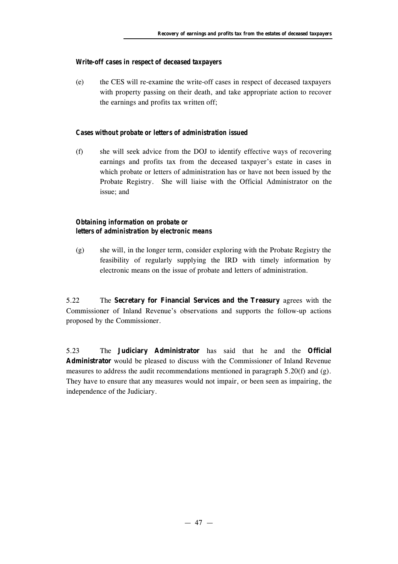#### *Write-off cases in respect of deceased taxpayers*

(e) the CES will re-examine the write-off cases in respect of deceased taxpayers with property passing on their death, and take appropriate action to recover the earnings and profits tax written off;

#### *Cases without probate or letters of administration issued*

(f) she will seek advice from the DOJ to identify effective ways of recovering earnings and profits tax from the deceased taxpayer's estate in cases in which probate or letters of administration has or have not been issued by the Probate Registry. She will liaise with the Official Administrator on the issue; and

#### *Obtaining information on probate or letters of administration by electronic means*

(g) she will, in the longer term, consider exploring with the Probate Registry the feasibility of regularly supplying the IRD with timely information by electronic means on the issue of probate and letters of administration.

5.22 The **Secretary for Financial Services and the Treasury** agrees with the Commissioner of Inland Revenue's observations and supports the follow-up actions proposed by the Commissioner.

5.23 The **Judiciary Administrator** has said that he and the **Official Administrator** would be pleased to discuss with the Commissioner of Inland Revenue measures to address the audit recommendations mentioned in paragraph 5.20(f) and (g). They have to ensure that any measures would not impair, or been seen as impairing, the independence of the Judiciary.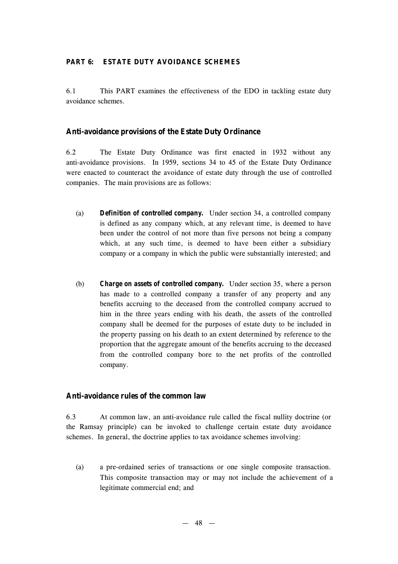#### **PART 6: ESTATE DUTY AVOIDANCE SCHEMES**

6.1 This PART examines the effectiveness of the EDO in tackling estate duty avoidance schemes.

#### **Anti-avoidance provisions of the Estate Duty Ordinance**

6.2 The Estate Duty Ordinance was first enacted in 1932 without any anti-avoidance provisions. In 1959, sections 34 to 45 of the Estate Duty Ordinance were enacted to counteract the avoidance of estate duty through the use of controlled companies. The main provisions are as follows:

- (a) *Definition of controlled company.* Under section 34, a controlled company is defined as any company which, at any relevant time, is deemed to have been under the control of not more than five persons not being a company which, at any such time, is deemed to have been either a subsidiary company or a company in which the public were substantially interested; and
- (b) *Charge on assets of controlled company.* Under section 35, where a person has made to a controlled company a transfer of any property and any benefits accruing to the deceased from the controlled company accrued to him in the three years ending with his death, the assets of the controlled company shall be deemed for the purposes of estate duty to be included in the property passing on his death to an extent determined by reference to the proportion that the aggregate amount of the benefits accruing to the deceased from the controlled company bore to the net profits of the controlled company.

#### **Anti-avoidance rules of the common law**

6.3 At common law, an anti-avoidance rule called the fiscal nullity doctrine (or the Ramsay principle) can be invoked to challenge certain estate duty avoidance schemes. In general, the doctrine applies to tax avoidance schemes involving:

(a) a pre-ordained series of transactions or one single composite transaction. This composite transaction may or may not include the achievement of a legitimate commercial end; and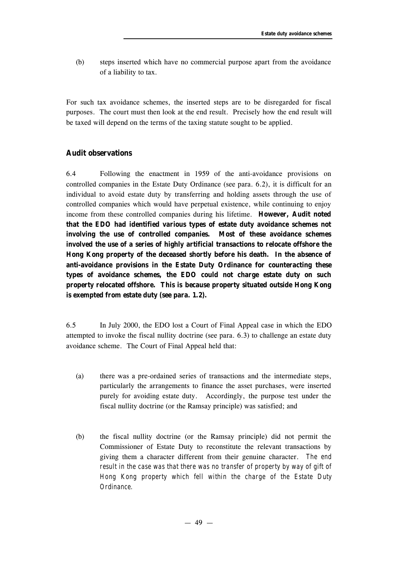(b) steps inserted which have no commercial purpose apart from the avoidance of a liability to tax.

For such tax avoidance schemes, the inserted steps are to be disregarded for fiscal purposes. The court must then look at the end result. Precisely how the end result will be taxed will depend on the terms of the taxing statute sought to be applied.

## **Audit observations**

6.4 Following the enactment in 1959 of the anti-avoidance provisions on controlled companies in the Estate Duty Ordinance (see para. 6.2), it is difficult for an individual to avoid estate duty by transferring and holding assets through the use of controlled companies which would have perpetual existence, while continuing to enjoy income from these controlled companies during his lifetime. **However, Audit noted that the EDO had identified various types of estate duty avoidance schemes not involving the use of controlled companies. Most of these avoidance schemes involved the use of a series of highly artificial transactions to relocate offshore the Hong Kong property of the deceased shortly before his death. In the absence of anti-avoidance provisions in the Estate Duty Ordinance for counteracting these types of avoidance schemes, the EDO could not charge estate duty on such property relocated offshore. This is because property situated outside Hong Kong is exempted from estate duty (see para. 1.2).**

6.5 In July 2000, the EDO lost a Court of Final Appeal case in which the EDO attempted to invoke the fiscal nullity doctrine (see para. 6.3) to challenge an estate duty avoidance scheme. The Court of Final Appeal held that:

- (a) there was a pre-ordained series of transactions and the intermediate steps, particularly the arrangements to finance the asset purchases, were inserted purely for avoiding estate duty. Accordingly, the purpose test under the fiscal nullity doctrine (or the Ramsay principle) was satisfied; and
- (b) the fiscal nullity doctrine (or the Ramsay principle) did not permit the Commissioner of Estate Duty to reconstitute the relevant transactions by giving them a character different from their genuine character. *The end result in the case was that there was no transfer of property by way of gift of Hong Kong property which fell within the charge of the Estate Duty Ordinance.*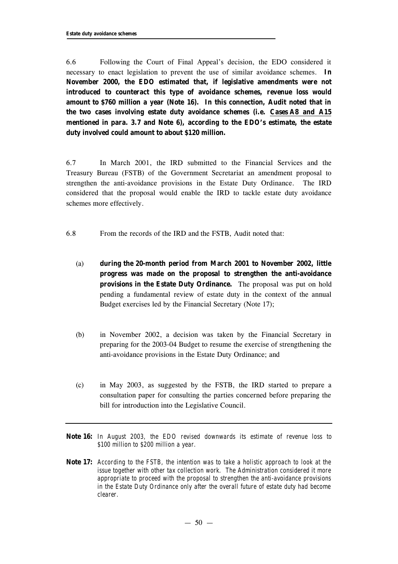6.6 Following the Court of Final Appeal's decision, the EDO considered it necessary to enact legislation to prevent the use of similar avoidance schemes. **In November 2000, the EDO estimated that, if legislative amendments were not introduced to counteract this type of avoidance schemes, revenue loss would amount to \$760 million a year (Note 16). In this connection, Audit noted that in the two cases involving estate duty avoidance schemes (i.e. Cases A8 and A15 mentioned in para. 3.7 and Note 6), according to the EDO's estimate, the estate duty involved could amount to about \$120 million.**

6.7 In March 2001, the IRD submitted to the Financial Services and the Treasury Bureau (FSTB) of the Government Secretariat an amendment proposal to strengthen the anti-avoidance provisions in the Estate Duty Ordinance. The IRD considered that the proposal would enable the IRD to tackle estate duty avoidance schemes more effectively.

- 6.8 From the records of the IRD and the FSTB, Audit noted that:
	- (a) **during the 20-month period from March 2001 to November 2002, little progress was made on the proposal to strengthen the anti-avoidance provisions in the Estate Duty Ordinance.** The proposal was put on hold pending a fundamental review of estate duty in the context of the annual Budget exercises led by the Financial Secretary (Note 17);
	- (b) in November 2002, a decision was taken by the Financial Secretary in preparing for the 2003-04 Budget to resume the exercise of strengthening the anti-avoidance provisions in the Estate Duty Ordinance; and
	- (c) in May 2003, as suggested by the FSTB, the IRD started to prepare a consultation paper for consulting the parties concerned before preparing the bill for introduction into the Legislative Council.
- **Note 16:** *In August 2003, the EDO revised downwards its estimate of revenue loss to \$100 million to \$200 million a year.*
- **Note 17:** *According to the FSTB, the intention was to take a holistic approach to look at the issue together with other tax collection work. The Administration considered it more appropriate to proceed with the proposal to strengthen the anti-avoidance provisions in the Estate Duty Ordinance only after the overall future of estate duty had become clearer.*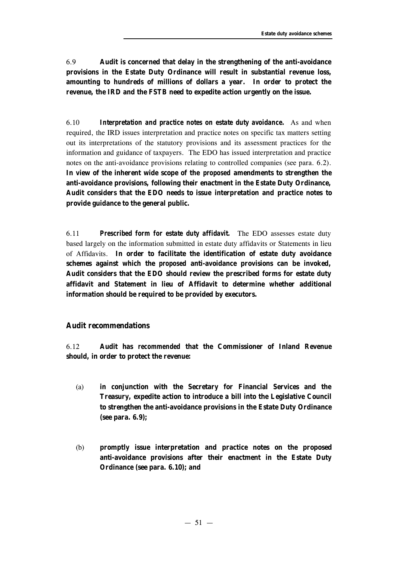6.9 **Audit is concerned that delay in the strengthening of the anti-avoidance provisions in the Estate Duty Ordinance will result in substantial revenue loss, amounting to hundreds of millions of dollars a year. In order to protect the revenue, the IRD and the FSTB need to expedite action urgently on the issue.**

6.10 *Interpretation and practice notes on estate duty avoidance***.** As and when required, the IRD issues interpretation and practice notes on specific tax matters setting out its interpretations of the statutory provisions and its assessment practices for the information and guidance of taxpayers. The EDO has issued interpretation and practice notes on the anti-avoidance provisions relating to controlled companies (see para. 6.2). **In view of the inherent wide scope of the** *proposed* **amendments to strengthen the anti-avoidance provisions, following their enactment in the Estate Duty Ordinance, Audit considers that the EDO needs to issue interpretation and practice notes to provide guidance to the general public.**

6.11 *Prescribed form for estate duty affidavit.* The EDO assesses estate duty based largely on the information submitted in estate duty affidavits or Statements in lieu of Affidavits. **In order to facilitate the identification of estate duty avoidance schemes against which the** *proposed* **anti-avoidance provisions can be invoked, Audit considers that the EDO should review the prescribed forms for estate duty affidavit and Statement in lieu of Affidavit to determine whether additional information should be required to be provided by executors.**

## **Audit recommendations**

6.12 **Audit has** *recommended* **that the Commissioner of Inland Revenue should, in order to protect the revenue:**

- (a) **in conjunction with the Secretary for Financial Services and the Treasury, expedite action to introduce a bill into the Legislative Council to strengthen the anti-avoidance provisions in the Estate Duty Ordinance (see para. 6.9);**
- (b) **promptly issue interpretation and practice notes on the proposed anti-avoidance provisions after their enactment in the Estate Duty Ordinance (see para. 6.10); and**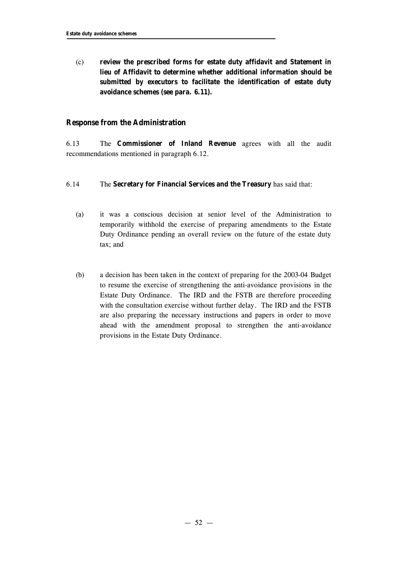(c) **review the prescribed forms for estate duty affidavit and Statement in lieu of Affidavit to determine whether additional information should be submitted by executors to facilitate the identification of estate duty avoidance schemes (see para. 6.11).**

## **Response from the Administration**

6.13 The **Commissioner of Inland Revenue** agrees with all the audit recommendations mentioned in paragraph 6.12.

#### 6.14 The **Secretary for Financial Services and the Treasury** has said that:

- (a) it was a conscious decision at senior level of the Administration to temporarily withhold the exercise of preparing amendments to the Estate Duty Ordinance pending an overall review on the future of the estate duty tax; and
- (b) a decision has been taken in the context of preparing for the 2003-04 Budget to resume the exercise of strengthening the anti-avoidance provisions in the Estate Duty Ordinance. The IRD and the FSTB are therefore proceeding with the consultation exercise without further delay. The IRD and the FSTB are also preparing the necessary instructions and papers in order to move ahead with the amendment proposal to strengthen the anti-avoidance provisions in the Estate Duty Ordinance.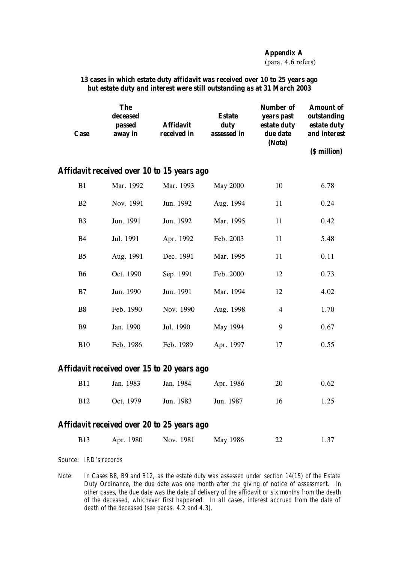#### **Appendix A**

(para. 4.6 refers)

| 13 cases in which estate duty affidavit was received over 10 to 25 years ago |  |
|------------------------------------------------------------------------------|--|
| but estate duty and interest were still outstanding as at 31 March 2003      |  |

|                                            | <b>Case</b>    | <b>The</b><br>deceased<br>passed<br>away in | <b>Affidavit</b><br>received in | <b>Estate</b><br>duty<br>assessed in | <b>Number of</b><br>years past<br>estate duty<br>due date<br>(Note) | <b>Amount of</b><br>outstanding<br>estate duty<br>and interest |
|--------------------------------------------|----------------|---------------------------------------------|---------------------------------|--------------------------------------|---------------------------------------------------------------------|----------------------------------------------------------------|
|                                            |                |                                             |                                 |                                      |                                                                     | (\$ million)                                                   |
|                                            |                | Affidavit received over 10 to 15 years ago  |                                 |                                      |                                                                     |                                                                |
|                                            | B1             | Mar. 1992                                   | Mar. 1993                       | <b>May 2000</b>                      | 10                                                                  | 6.78                                                           |
|                                            | B2             | Nov. 1991                                   | Jun. 1992                       | Aug. 1994                            | 11                                                                  | 0.24                                                           |
|                                            | B <sub>3</sub> | Jun. 1991                                   | Jun. 1992                       | Mar. 1995                            | 11                                                                  | 0.42                                                           |
|                                            | <b>B4</b>      | Jul. 1991                                   | Apr. 1992                       | Feb. 2003                            | 11                                                                  | 5.48                                                           |
|                                            | B <sub>5</sub> | Aug. 1991                                   | Dec. 1991                       | Mar. 1995                            | 11                                                                  | 0.11                                                           |
|                                            | <b>B6</b>      | Oct. 1990                                   | Sep. 1991                       | Feb. 2000                            | 12                                                                  | 0.73                                                           |
|                                            | B7             | Jun. 1990                                   | Jun. 1991                       | Mar. 1994                            | 12                                                                  | 4.02                                                           |
|                                            | <b>B8</b>      | Feb. 1990                                   | Nov. 1990                       | Aug. 1998                            | $\overline{\mathbf{4}}$                                             | 1.70                                                           |
|                                            | <b>B</b> 9     | Jan. 1990                                   | Jul. 1990                       | May 1994                             | 9                                                                   | 0.67                                                           |
|                                            | <b>B10</b>     | Feb. 1986                                   | Feb. 1989                       | Apr. 1997                            | 17                                                                  | 0.55                                                           |
|                                            |                | Affidavit received over 15 to 20 years ago  |                                 |                                      |                                                                     |                                                                |
|                                            | <b>B11</b>     | Jan. 1983                                   | Jan. 1984                       | Apr. 1986                            | 20                                                                  | 0.62                                                           |
|                                            | <b>B</b> 12    | Oct. 1979                                   | Jun. 1983                       | Jun. 1987                            | 16                                                                  | 1.25                                                           |
| Affidavit received over 20 to 25 years ago |                |                                             |                                 |                                      |                                                                     |                                                                |
|                                            | <b>B13</b>     | Apr. 1980                                   | Nov. 1981                       | May 1986                             | 22                                                                  | 1.37                                                           |
|                                            |                |                                             |                                 |                                      |                                                                     |                                                                |

*Source: IRD's records*

*Note: In Cases B8, B9 and B12, as the estate duty was assessed under section 14(15) of the Estate Duty Ordinance, the due date was one month after the giving of notice of assessment. In other cases, the due date was the date of delivery of the affidavit or six months from the death of the deceased, whichever first happened. In all cases, interest accrued from the date of death of the deceased (see paras. 4.2 and 4.3).*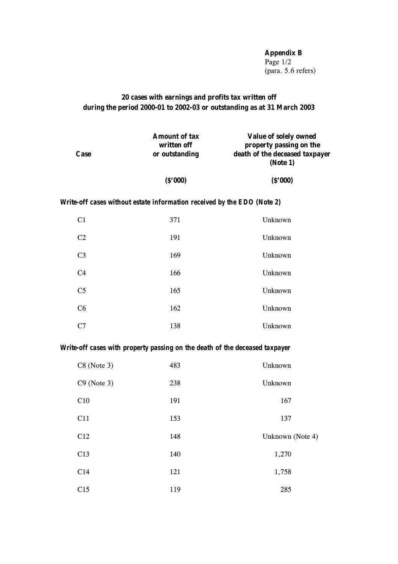**Appendix B** Page  $1/2$ (para. 5.6 refers)

## **20 cases with earnings and profits tax written off during the period 2000-01 to 2002-03 or outstanding as at 31 March 2003**

| <b>Case</b> | <b>Amount of tax</b><br>written off<br>or outstanding | Value of solely owned<br>property passing on the<br>death of the deceased taxpayer<br>(Note 1) |
|-------------|-------------------------------------------------------|------------------------------------------------------------------------------------------------|
|             | (S'000)                                               | (S'000)                                                                                        |

## *Write-off cases without estate information received by the EDO (Note 2)*

| C1             | 371 | Unknown |
|----------------|-----|---------|
| C <sub>2</sub> | 191 | Unknown |
| C <sub>3</sub> | 169 | Unknown |
| C <sub>4</sub> | 166 | Unknown |
| C <sub>5</sub> | 165 | Unknown |
| C6             | 162 | Unknown |
| C7             | 138 | Unknown |

## *Write-off cases with property passing on the death of the deceased taxpayer*

| $C8$ (Note 3) | 483 | Unknown          |
|---------------|-----|------------------|
| $C9$ (Note 3) | 238 | Unknown          |
| C10           | 191 | 167              |
| C11           | 153 | 137              |
| C12           | 148 | Unknown (Note 4) |
| C13           | 140 | 1,270            |
| C14           | 121 | 1,758            |
| C15           | 119 | 285              |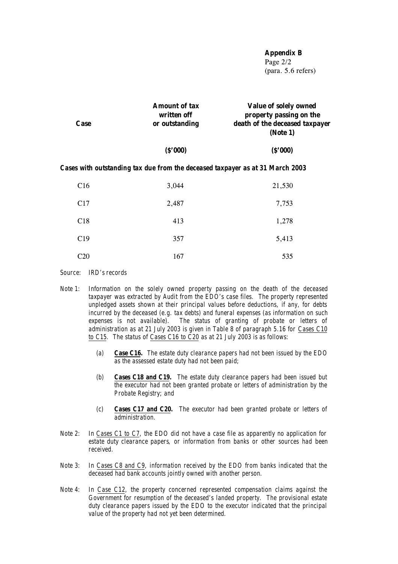**Appendix B**

Page 2/2 (para. 5.6 refers)

| <b>Case</b> | <b>Amount of tax</b><br>written off<br>or outstanding | Value of solely owned<br>property passing on the<br>death of the deceased taxpayer<br>(Note 1) |
|-------------|-------------------------------------------------------|------------------------------------------------------------------------------------------------|
|             | (\$'000)                                              | (S'000)                                                                                        |

#### *Cases with outstanding tax due from the deceased taxpayer as at 31 March 2003*

| C16 | 3,044 | 21,530 |
|-----|-------|--------|
| C17 | 2,487 | 7,753  |
| C18 | 413   | 1,278  |
| C19 | 357   | 5,413  |
| C20 | 167   | 535    |

*Source: IRD's records*

- *Note 1: Information on the solely owned property passing on the death of the deceased taxpayer was extracted by Audit from the EDO's case files. The property represented unpledged assets shown at their principal values before deductions, if any, for debts incurred by the deceased (e.g. tax debts) and funeral expenses (as information on such expenses is not available). The status of granting of probate or letters of administration as at 21 July 2003 is given in Table 8 of paragraph 5.16 for Cases C10 to C15. The status of Cases C16 to C20 as at 21 July 2003 is as follows:*
	- *(a) Case C16. The estate duty clearance papers had not been issued by the EDO as the assessed estate duty had not been paid;*
	- *(b) Cases C18 and C19. The estate duty clearance papers had been issued but the executor had not been granted probate or letters of administration by the Probate Registry; and*
	- *(c) Cases C17 and C20. The executor had been granted probate or letters of administration.*
- *Note 2: In Cases C1 to C7, the EDO did not have a case file as apparently no application for estate duty clearance papers, or information from banks or other sources had been received.*
- *Note 3: In Cases C8 and C9, information received by the EDO from banks indicated that the deceased had bank accounts jointly owned with another person.*
- *Note 4: In Case C12, the property concerned represented compensation claims against the Government for resumption of the deceased's landed property. The provisional estate duty clearance papers issued by the EDO to the executor indicated that the principal value of the property had not yet been determined.*